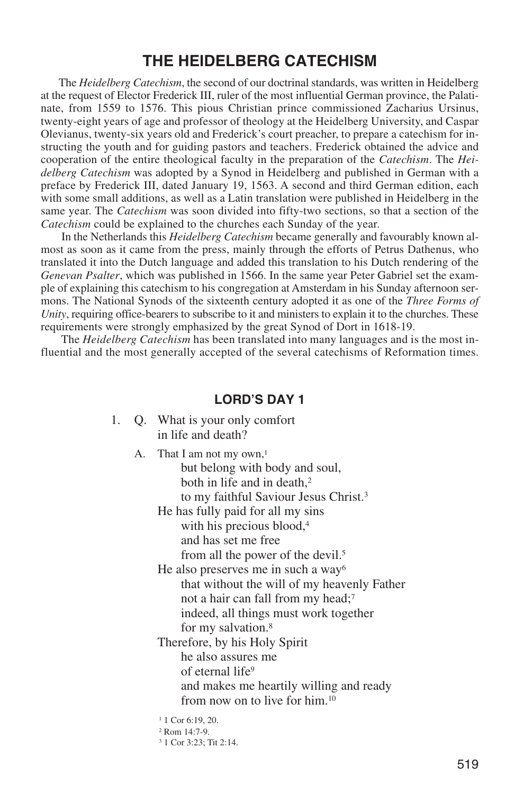The *Heidelberg Catechism*, the second of our doctrinal standards, was written in Heidelberg at the request of Elector Frederick III, ruler of the most influential German province, the Palatinate, from 1559 to 1576. This pious Christian prince commissioned Zacharius Ursinus, twenty-eight years of age and professor of theology at the Heidelberg University, and Caspar Olevianus, twenty-six years old and Frederick's court preacher, to prepare a catechism for instructing the youth and for guiding pastors and teachers. Frederick obtained the advice and cooperation of the entire theological faculty in the preparation of the *Catechism*. The *Heidelberg Catechism* was adopted by a Synod in Heidelberg and published in German with a preface by Frederick III, dated January 19, 1563. A second and third German edition, each with some small additions, as well as a Latin translation were published in Heidelberg in the same year. The *Catechism* was soon divided into fifty-two sections, so that a section of the *Catechism* could be explained to the churches each Sunday of the year.

In the Netherlands this *Heidelberg Catechism* became generally and favourably known almost as soon as it came from the press, mainly through the efforts of Petrus Dathenus, who translated it into the Dutch language and added this translation to his Dutch rendering of the *Genevan Psalter*, which was published in 1566. In the same year Peter Gabriel set the example of explaining this catechism to his congregation at Amsterdam in his Sunday afternoon sermons. The National Synods of the sixteenth century adopted it as one of the *Three Forms of Unity*, requiring office-bearers to subscribe to it and ministers to explain it to the churches. These requirements were strongly emphasized by the great Synod of Dort in 1618-19.

The *Heidelberg Catechism* has been translated into many languages and is the most influential and the most generally accepted of the several catechisms of Reformation times.

- 1. Q. What is your only comfort in life and death?
	- A. That I am not my own,<sup>1</sup> but belong with body and soul, both in life and in death.<sup>2</sup> to my faithful Saviour Jesus Christ.3 He has fully paid for all my sins with his precious blood,<sup>4</sup> and has set me free from all the power of the devil.5 He also preserves me in such a way<sup>6</sup> that without the will of my heavenly Father not a hair can fall from my head;7 indeed, all things must work together for my salvation.8 Therefore, by his Holy Spirit he also assures me of eternal life9 and makes me heartily willing and ready from now on to live for him.10 <sup>1</sup> 1 Cor 6:19, 20.  $2$  Rom  $14.7-9$ .
		-
		- <sup>3</sup> 1 Cor 3:23; Tit 2:14.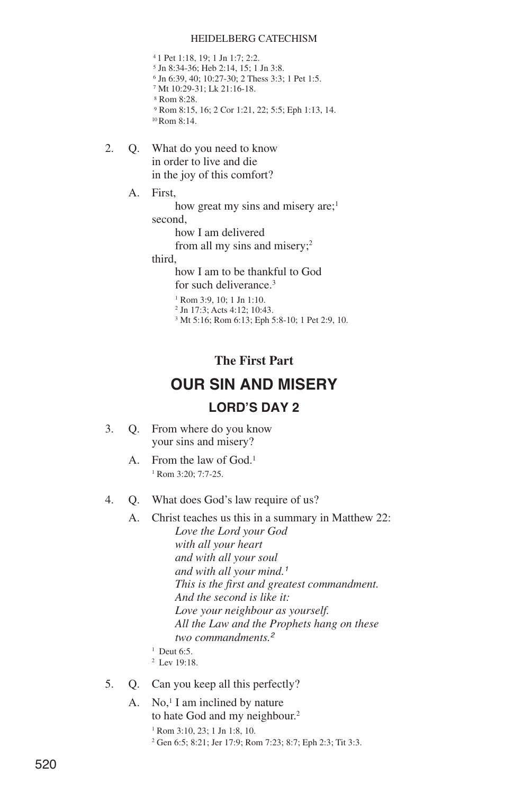1 Pet 1:18, 19; 1 Jn 1:7; 2:2. Jn 8:34-36; Heb 2:14, 15; 1 Jn 3:8. Jn 6:39, 40; 10:27-30; 2 Thess 3:3; 1 Pet 1:5. Mt 10:29-31; Lk 21:16-18. Rom 8:28. Rom 8:15, 16; 2 Cor 1:21, 22; 5:5; Eph 1:13, 14. 10Rom 8:14.

- 2. Q. What do you need to know in order to live and die in the joy of this comfort?
	- A. First,

how great my sins and misery are;<sup>1</sup> second,

how I am delivered

from all my sins and misery;2

third,

how I am to be thankful to God for such deliverance.3

<sup>1</sup> Rom 3:9, 10; 1 Jn 1:10.

- <sup>2</sup> Jn 17:3; Acts 4:12; 10:43.
- <sup>3</sup> Mt 5:16; Rom 6:13; Eph 5:8-10; 1 Pet 2:9, 10.

### **The First Part**

# **OUR SIN AND MISERY LORD'S DAY 2**

- 3. Q. From where do you know your sins and misery?
	- A. From the law of God.<sup>1</sup> <sup>1</sup> Rom 3:20; 7:7-25.
- 4. Q. What does God's law require of us?
	- A. Christ teaches us this in a summary in Matthew 22: *Love the Lord your God with all your heart and with all your soul and with all your mind.<sup>1</sup> This is the first and greatest commandment. And the second is like it: Love your neighbour as yourself. All the Law and the Prophets hang on these two commandments.<sup>2</sup>*
		- <sup>1</sup> Deut 6:5.
		- <sup>2</sup> Lev 19:18.
- 5. Q. Can you keep all this perfectly?
	- A. No, $1$  I am inclined by nature to hate God and my neighbour.<sup>2</sup>
		- $1$  Rom 3:10, 23; 1 Jn 1:8, 10.
		- <sup>2</sup> Gen 6:5; 8:21; Jer 17:9; Rom 7:23; 8:7; Eph 2:3; Tit 3:3.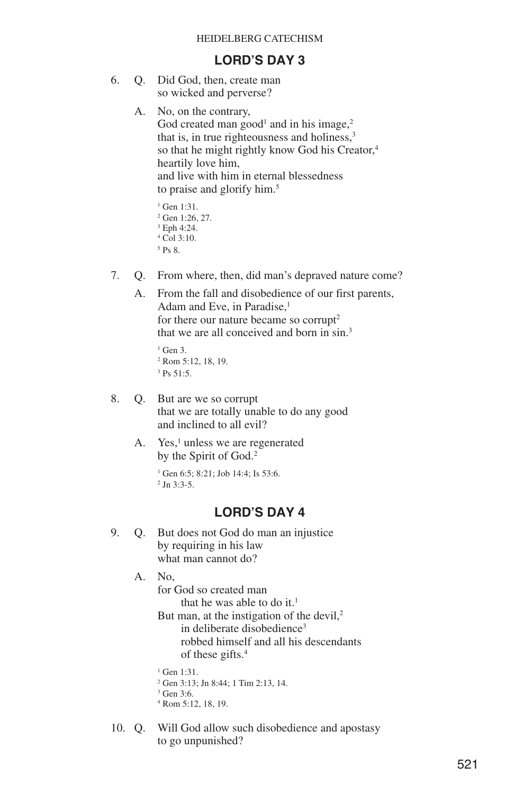### **LORD'S DAY 3**

- 6. Q. Did God, then, create man so wicked and perverse?
	- A. No, on the contrary, God created man good<sup>1</sup> and in his image,<sup>2</sup> that is, in true righteousness and holiness, $3$ so that he might rightly know God his Creator,<sup>4</sup> heartily love him, and live with him in eternal blessedness to praise and glorify him.<sup>5</sup>

```
<sup>1</sup> Gen 1:31.
2 Gen 1:26, 27.
3 Eph 4:24.
4 Col 3:10.
5 Ps \overline{8}.
```
- 7. Q. From where, then, did man's depraved nature come?
	- A. From the fall and disobedience of our first parents, Adam and Eve, in Paradise.<sup>1</sup> for there our nature became so corrupt<sup>2</sup> that we are all conceived and born in sin.<sup>3</sup>

```
1 Gen 3.
2 Rom 5:12, 18, 19.
3 \text{Ps } 51.5.
```
- 8. Q. But are we so corrupt that we are totally unable to do any good and inclined to all evil?
	- A. Yes,<sup>1</sup> unless we are regenerated by the Spirit of God.2

 $1$  Gen 6:5: 8:21: Job 14:4: Is 53:6.  $^{2}$  Jn 3:3-5.

### **LORD'S DAY 4**

- 9. Q. But does not God do man an injustice by requiring in his law what man cannot do?
	- A. No,

for God so created man that he was able to do it.<sup>1</sup>

But man, at the instigation of the devil, $2$ in deliberate disobedience<sup>3</sup> robbed himself and all his descendants of these gifts.4

<sup>1</sup> Gen 1:31.

- <sup>2</sup> Gen 3:13; Jn 8:44; 1 Tim 2:13, 14.
- <sup>3</sup> Gen 3:6.
- <sup>4</sup> Rom 5:12, 18, 19.
- 10. Q. Will God allow such disobedience and apostasy to go unpunished?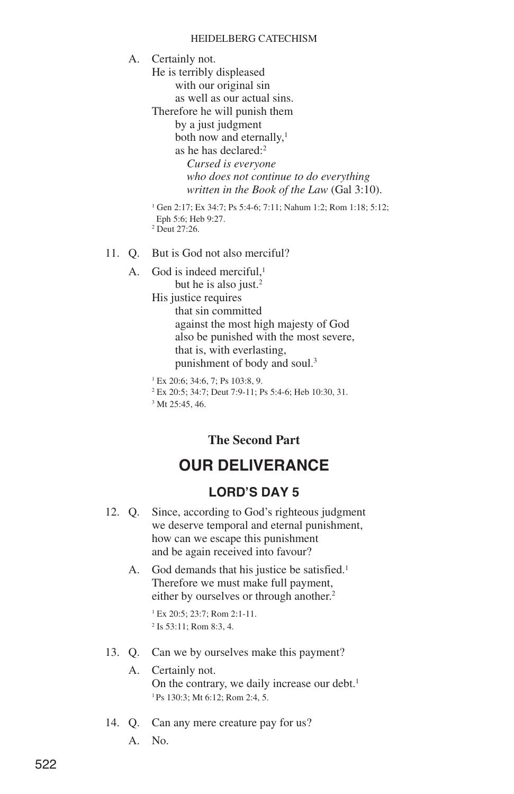A. Certainly not. He is terribly displeased with our original sin as well as our actual sins. Therefore he will punish them by a just judgment both now and eternally, $<sup>1</sup>$ </sup> as he has declared:<sup>2</sup> *Cursed is everyone who does not continue to do everything written in the Book of the Law* (Gal 3:10). <sup>1</sup> Gen 2:17; Ex 34:7; Ps 5:4-6; 7:11; Nahum 1:2; Rom 1:18; 5:12; Eph 5:6; Heb 9:27.  $2$  Deut 27:26.

11. Q. But is God not also merciful?

A. God is indeed merciful.<sup>1</sup> but he is also just.<sup>2</sup> His justice requires that sin committed against the most high majesty of God also be punished with the most severe, that is, with everlasting, punishment of body and soul.<sup>3</sup>

```
1 Ex 20:6; 34:6, 7; Ps 103:8, 9.
```
<sup>2</sup> Ex 20:5; 34:7; Deut 7:9-11; Ps 5:4-6; Heb 10:30, 31.

```
3 Mt 25:45, 46.
```
## **The Second Part**

# **OUR DELIVERANCE**

### **LORD'S DAY 5**

- 12. Q. Since, according to God's righteous judgment we deserve temporal and eternal punishment, how can we escape this punishment and be again received into favour?
	- A. God demands that his justice be satisfied.<sup>1</sup> Therefore we must make full payment, either by ourselves or through another.<sup>2</sup>

<sup>1</sup> Ex 20:5; 23:7; Rom 2:1-11. <sup>2</sup> Is 53:11; Rom 8:3, 4.

13. Q. Can we by ourselves make this payment?

### A. Certainly not. On the contrary, we daily increase our debt.<sup>1</sup> <sup>1</sup> Ps 130:3; Mt 6:12; Rom 2:4, 5.

14. Q. Can any mere creature pay for us?

A. No.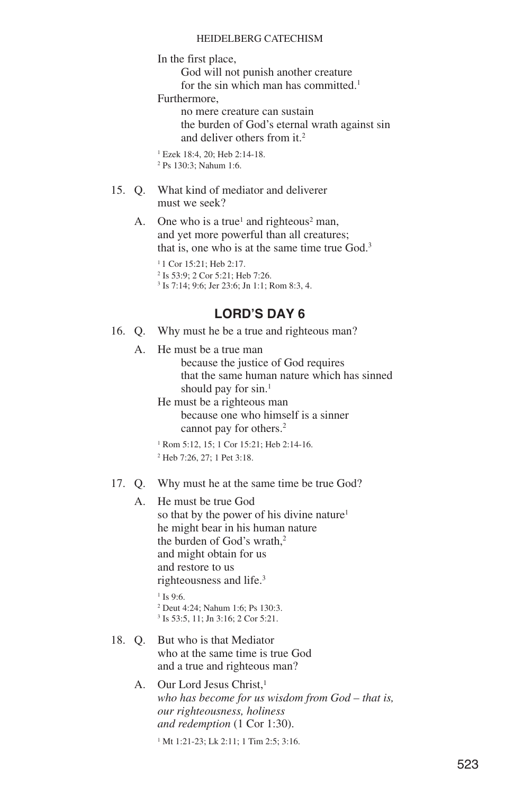In the first place,

God will not punish another creature

for the sin which man has committed.<sup>1</sup>

Furthermore,

no mere creature can sustain the burden of God's eternal wrath against sin and deliver others from it.2

<sup>1</sup> Ezek 18:4, 20; Heb 2:14-18. <sup>2</sup> Ps 130:3; Nahum 1:6.

- 15. Q. What kind of mediator and deliverer must we seek?
	- A. One who is a true<sup>1</sup> and righteous<sup>2</sup> man, and yet more powerful than all creatures; that is, one who is at the same time true God.<sup>3</sup>

<sup>1</sup> 1 Cor 15:21; Heb 2:17. <sup>2</sup> Is 53:9; 2 Cor 5:21; Heb 7:26. <sup>3</sup> Is 7:14; 9:6; Jer 23:6; Jn 1:1; Rom 8:3, 4.

## **LORD'S DAY 6**

- 16. Q. Why must he be a true and righteous man?
	- A. He must be a true man because the justice of God requires that the same human nature which has sinned should pay for sin.<sup>1</sup>

He must be a righteous man because one who himself is a sinner cannot pay for others.<sup>2</sup>

<sup>1</sup> Rom 5:12, 15; 1 Cor 15:21; Heb 2:14-16.

<sup>2</sup> Heb 7:26, 27; 1 Pet 3:18.

17. Q. Why must he at the same time be true God?

A. He must be true God so that by the power of his divine nature<sup>1</sup> he might bear in his human nature the burden of God's wrath,<sup>2</sup> and might obtain for us and restore to us righteousness and life.3 <sup>1</sup> Is 9:6.

> <sup>2</sup> Deut 4:24; Nahum 1:6; Ps 130:3. <sup>3</sup> Is 53:5, 11; Jn 3:16; 2 Cor 5:21.

- 18. Q. But who is that Mediator who at the same time is true God and a true and righteous man?
	- A. Our Lord Jesus Christ.<sup>1</sup> *who has become for us wisdom from God – that is, our righteousness, holiness and redemption* (1 Cor 1:30).

<sup>1</sup> Mt 1:21-23; Lk 2:11; 1 Tim 2:5; 3:16.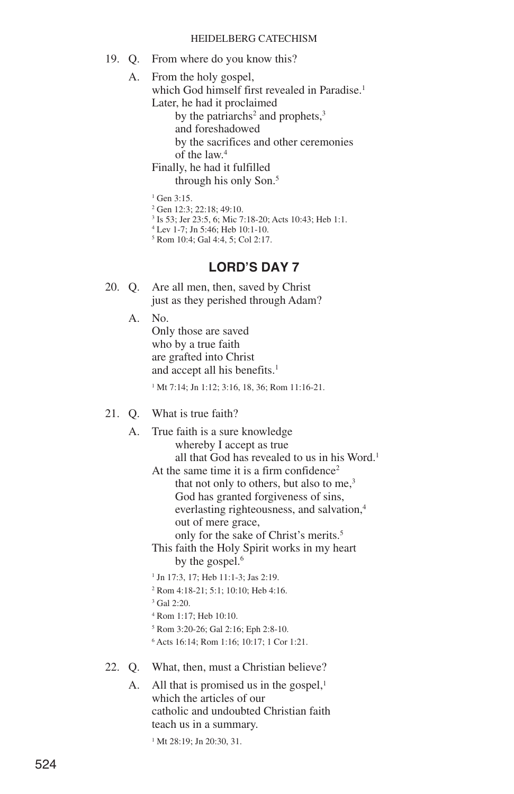19. Q. From where do you know this?

A. From the holy gospel,

which God himself first revealed in Paradise.<sup>1</sup> Later, he had it proclaimed

by the patriarchs<sup>2</sup> and prophets, $3$ 

and foreshadowed

by the sacrifices and other ceremonies of the law.4

Finally, he had it fulfilled

through his only Son.5

 $1$  Gen 3:15.

<sup>2</sup> Gen 12:3; 22:18; 49:10.

<sup>3</sup> Is 53; Jer 23:5, 6; Mic 7:18-20; Acts 10:43; Heb 1:1.

<sup>4</sup> Lev 1-7; Jn 5:46; Heb 10:1-10.

<sup>5</sup> Rom 10:4; Gal 4:4, 5; Col 2:17.

### **LORD'S DAY 7**

- 20. Q. Are all men, then, saved by Christ just as they perished through Adam?
	- A. No.

Only those are saved who by a true faith are grafted into Christ and accept all his benefits.<sup>1</sup>

<sup>1</sup> Mt 7:14; Jn 1:12; 3:16, 18, 36; Rom 11:16-21.

- 21. Q. What is true faith?
	- A. True faith is a sure knowledge whereby I accept as true all that God has revealed to us in his Word.<sup>1</sup>

At the same time it is a firm confidence<sup>2</sup> that not only to others, but also to me, $3$ God has granted forgiveness of sins, everlasting righteousness, and salvation,<sup>4</sup> out of mere grace, only for the sake of Christ's merits.5

- This faith the Holy Spirit works in my heart by the gospel.<sup>6</sup>
- <sup>1</sup> Jn 17:3, 17; Heb 11:1-3; Jas 2:19.
- <sup>2</sup> Rom 4:18-21; 5:1; 10:10; Heb 4:16.
- $3$  Gal  $2:20$ .
- <sup>4</sup> Rom 1:17; Heb 10:10.
- <sup>5</sup> Rom 3:20-26; Gal 2:16; Eph 2:8-10.
- <sup>6</sup> Acts 16:14; Rom 1:16; 10:17; 1 Cor 1:21.
- 22. Q. What, then, must a Christian believe?
	- A. All that is promised us in the gospel, $<sup>1</sup>$ </sup> which the articles of our catholic and undoubted Christian faith teach us in a summary.

<sup>1</sup> Mt 28:19; Jn 20:30, 31.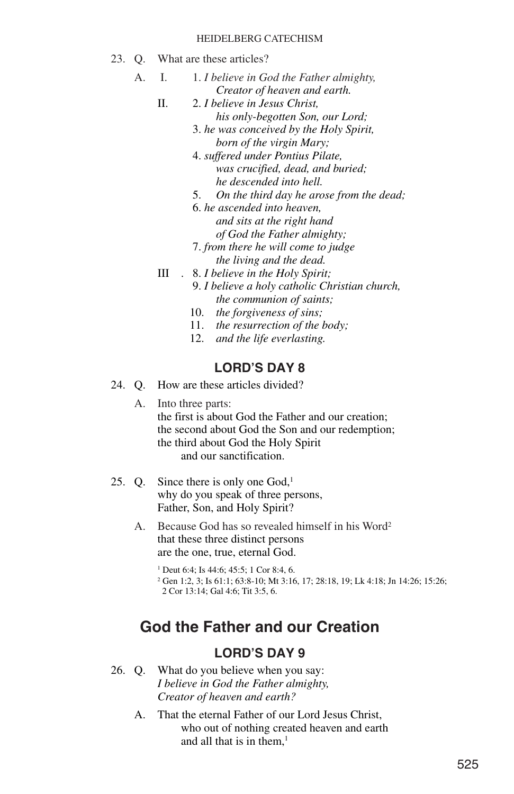- 23. Q. What are these articles?
	- A. I. 1. *I believe in God the Father almighty, Creator of heaven and earth.*
		- II. 2. *I believe in Jesus Christ, his only-begotten Son, our Lord;*
			- 3. *he was conceived by the Holy Spirit, born of the virgin Mary;*
			- 4. *suffered under Pontius Pilate, was crucified, dead, and buried; he descended into hell.*
			- 5. *On the third day he arose from the dead;*
			- 6. *he ascended into heaven, and sits at the right hand of God the Father almighty;*
			- 7. *from there he will come to judge the living and the dead.*
		- III . 8. *I believe in the Holy Spirit;*
			- 9. *I believe a holy catholic Christian church, the communion of saints;*
			- 10. *the forgiveness of sins;*
			- 11. *the resurrection of the body;*
			- 12. *and the life everlasting.*

## **LORD'S DAY 8**

- 24. Q. How are these articles divided?
	- A. Into three parts: the first is about God the Father and our creation; the second about God the Son and our redemption; the third about God the Holy Spirit and our sanctification.
- 25. Q. Since there is only one God,<sup>1</sup> why do you speak of three persons, Father, Son, and Holy Spirit?
	- A. Because God has so revealed himself in his Word<sup>2</sup> that these three distinct persons are the one, true, eternal God.

<sup>1</sup> Deut 6:4: Is 44:6: 45:5: 1 Cor 8:4, 6. <sup>2</sup> Gen 1:2, 3; Is 61:1; 63:8-10; Mt 3:16, 17; 28:18, 19; Lk 4:18; Jn 14:26; 15:26; 2 Cor 13:14; Gal 4:6; Tit 3:5, 6.

# **God the Father and our Creation**

- 26. Q. What do you believe when you say: *I believe in God the Father almighty, Creator of heaven and earth?*
	- A. That the eternal Father of our Lord Jesus Christ, who out of nothing created heaven and earth and all that is in them. $<sup>1</sup>$ </sup>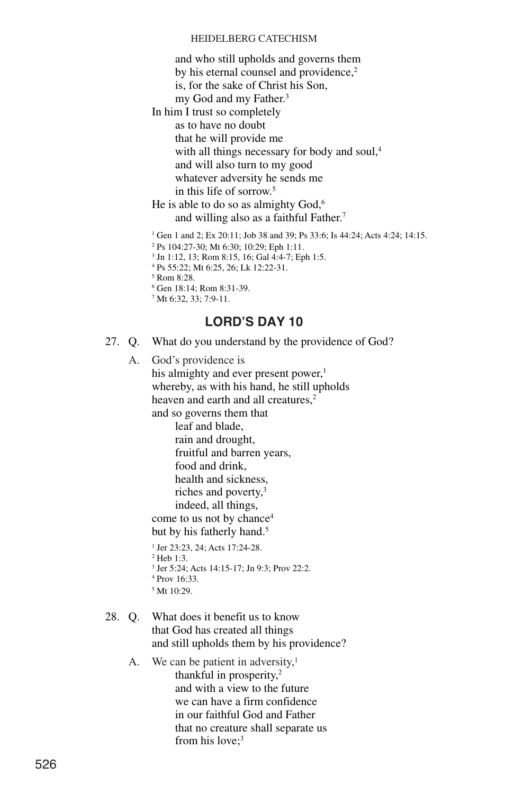and who still upholds and governs them by his eternal counsel and providence,<sup>2</sup> is, for the sake of Christ his Son,

my God and my Father.<sup>3</sup>

In him I trust so completely as to have no doubt that he will provide me with all things necessary for body and soul,<sup>4</sup> and will also turn to my good whatever adversity he sends me in this life of sorrow.5

He is able to do so as almighty God,<sup>6</sup> and willing also as a faithful Father.7

<sup>1</sup> Gen 1 and 2; Ex 20:11; Job 38 and 39; Ps 33:6; Is 44:24; Acts 4:24; 14:15.

<sup>2</sup> Ps 104:27-30; Mt 6:30; 10:29; Eph 1:11.

<sup>3</sup> Jn 1:12, 13; Rom 8:15, 16; Gal 4:4-7; Eph 1:5.

<sup>4</sup> Ps 55:22; Mt 6:25, 26; Lk 12:22-31.

<sup>5</sup> Rom 8:28.

- <sup>6</sup> Gen 18:14; Rom 8:31-39.
- <sup>7</sup> Mt 6:32, 33; 7:9-11.

### **LORD'S DAY 10**

27. Q. What do you understand by the providence of God?

A. God's providence is his almighty and ever present power,<sup>1</sup> whereby, as with his hand, he still upholds heaven and earth and all creatures,<sup>2</sup>

and so governs them that

leaf and blade,

rain and drought, fruitful and barren years, food and drink, health and sickness, riches and poverty,<sup>3</sup> indeed, all things,

come to us not by chance4 but by his fatherly hand.<sup>5</sup>

- <sup>1</sup> Jer 23:23, 24; Acts 17:24-28.
- <sup>2</sup> Heb 1:3.
- <sup>3</sup> Jer 5:24; Acts 14:15-17; Jn 9:3; Prov 22:2.
- <sup>4</sup> Prov 16:33.
- <sup>5</sup> Mt 10:29.
- 28. Q. What does it benefit us to know that God has created all things and still upholds them by his providence?
	- A. We can be patient in adversity, $<sup>1</sup>$ </sup> thankful in prosperity,<sup>2</sup> and with a view to the future we can have a firm confidence in our faithful God and Father that no creature shall separate us from his love:<sup>3</sup>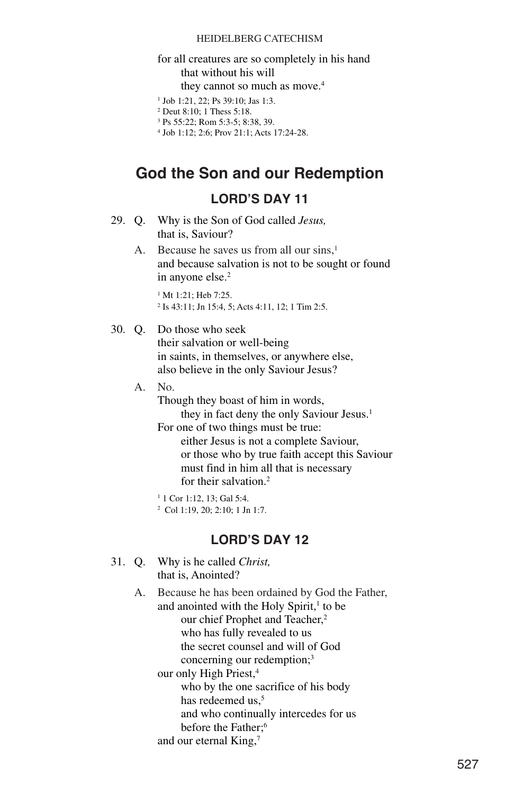### for all creatures are so completely in his hand that without his will they cannot so much as move.<sup>4</sup>

- <sup>1</sup> Job 1:21, 22; Ps 39:10; Jas 1:3.
- <sup>2</sup> Deut 8:10; 1 Thess 5:18.

```
3 Ps 55:22; Rom 5:3-5; 8:38, 39.
```
<sup>4</sup> Job 1:12; 2:6; Prov 21:1; Acts 17:24-28.

# **God the Son and our Redemption**

## **LORD'S DAY 11**

- 29. Q. Why is the Son of God called *Jesus,* that is, Saviour?
	- A. Because he saves us from all our sins.<sup>1</sup> and because salvation is not to be sought or found in anyone else.<sup>2</sup>

<sup>1</sup> Mt 1:21; Heb 7:25. <sup>2</sup> Is 43:11; Jn 15:4, 5; Acts 4:11, 12; 1 Tim 2:5.

### 30. Q. Do those who seek

their salvation or well-being in saints, in themselves, or anywhere else, also believe in the only Saviour Jesus?

### A. No.

Though they boast of him in words, they in fact deny the only Saviour Jesus.<sup>1</sup> For one of two things must be true:

either Jesus is not a complete Saviour, or those who by true faith accept this Saviour must find in him all that is necessary for their salvation.<sup>2</sup>

```
1 1 Cor 1:12, 13; Gal 5:4.
```
<sup>2</sup> Col 1:19, 20; 2:10; 1 Jn 1:7.

### **LORD'S DAY 12**

31. Q. Why is he called *Christ,* that is, Anointed?

> A. Because he has been ordained by God the Father, and anointed with the Holy Spirit,<sup>1</sup> to be our chief Prophet and Teacher,<sup>2</sup> who has fully revealed to us the secret counsel and will of God concerning our redemption;<sup>3</sup> our only High Priest,<sup>4</sup> who by the one sacrifice of his body has redeemed us.<sup>5</sup> and who continually intercedes for us before the Father;<sup>6</sup> and our eternal King,7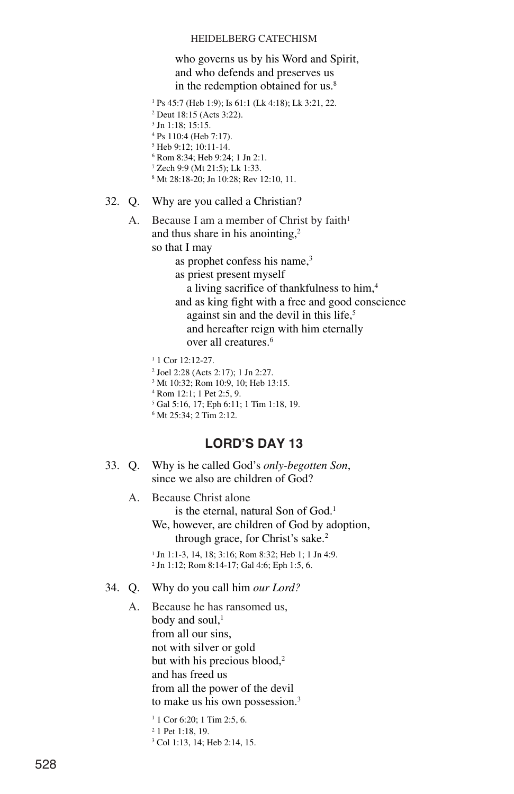### who governs us by his Word and Spirit, and who defends and preserves us in the redemption obtained for us.<sup>8</sup>

- <sup>1</sup> Ps 45:7 (Heb 1:9); Is 61:1 (Lk 4:18); Lk 3:21, 22.
- <sup>2</sup> Deut 18:15 (Acts 3:22).
- $3$  In  $1.18:15:15$ .
- <sup>4</sup> Ps 110:4 (Heb 7:17).
- <sup>5</sup> Heb 9:12; 10:11-14.
- <sup>6</sup> Rom 8:34; Heb 9:24; 1 Jn 2:1. <sup>7</sup> Zech 9:9 (Mt 21:5); Lk 1:33.
- <sup>8</sup> Mt 28:18-20; Jn 10:28; Rev 12:10, 11.
- 32. Q. Why are you called a Christian?
	- A. Because I am a member of Christ by faith<sup>1</sup> and thus share in his anointing,2

so that I may

- as prophet confess his name,<sup>3</sup>
- as priest present myself
- a living sacrifice of thankfulness to him,4 and as king fight with a free and good conscience against sin and the devil in this life,<sup>5</sup> and hereafter reign with him eternally

over all creatures.6

- <sup>1</sup> 1 Cor 12:12-27.
- <sup>2</sup> Joel 2:28 (Acts 2:17); 1 Jn 2:27.
- <sup>3</sup> Mt 10:32; Rom 10:9, 10; Heb 13:15.
- <sup>4</sup> Rom 12:1; 1 Pet 2:5, 9.
- <sup>5</sup> Gal 5:16, 17; Eph 6:11; 1 Tim 1:18, 19.
- <sup>6</sup> Mt 25:34; 2 Tim 2:12.

## **LORD'S DAY 13**

- 33. Q. Why is he called God's *only-begotten Son*, since we also are children of God?
	- A. Because Christ alone is the eternal, natural Son of God.<sup>1</sup> We, however, are children of God by adoption, through grace, for Christ's sake.<sup>2</sup>

<sup>1</sup> Jn 1:1-3, 14, 18; 3:16; Rom 8:32; Heb 1; 1 Jn 4:9. <sup>2</sup> Jn 1:12; Rom 8:14-17; Gal 4:6; Eph 1:5, 6.

### 34. Q. Why do you call him *our Lord?*

A. Because he has ransomed us, body and soul. $<sup>1</sup>$ </sup> from all our sins, not with silver or gold but with his precious blood,<sup>2</sup> and has freed us from all the power of the devil to make us his own possession.3

> <sup>1</sup> 1 Cor 6:20; 1 Tim 2:5, 6. <sup>2</sup> 1 Pet 1:18, 19. <sup>3</sup> Col 1:13, 14; Heb 2:14, 15.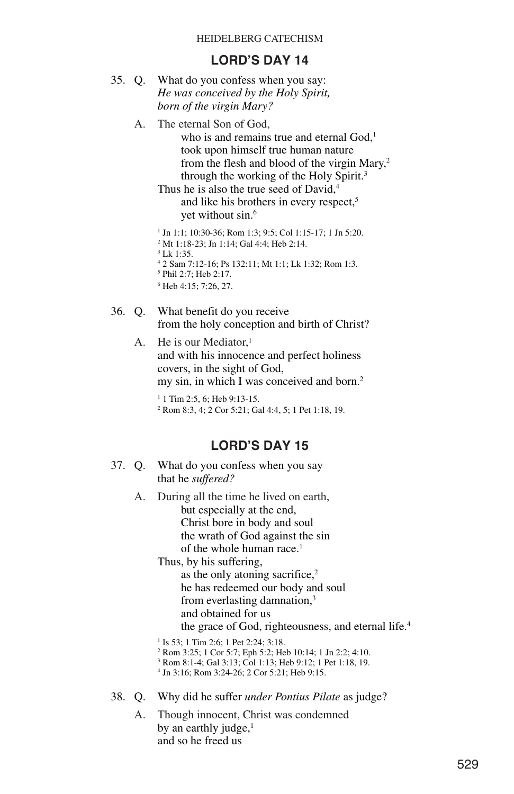### **LORD'S DAY 14**

- 35. Q. What do you confess when you say: *He was conceived by the Holy Spirit, born of the virgin Mary?*
	- A. The eternal Son of God,

who is and remains true and eternal God,<sup>1</sup> took upon himself true human nature from the flesh and blood of the virgin Mary,<sup>2</sup> through the working of the Holy Spirit.3

Thus he is also the true seed of David.<sup>4</sup> and like his brothers in every respect,<sup>5</sup> yet without sin.<sup>6</sup>

 Jn 1:1; 10:30-36; Rom 1:3; 9:5; Col 1:15-17; 1 Jn 5:20. Mt 1:18-23; Jn 1:14; Gal 4:4; Heb 2:14. <sup>3</sup> Lk 1:35. 2 Sam 7:12-16; Ps 132:11; Mt 1:1; Lk 1:32; Rom 1:3.

- <sup>5</sup> Phil 2:7; Heb 2:17.
- <sup>6</sup> Heb 4:15; 7:26, 27.
- 36. Q. What benefit do you receive from the holy conception and birth of Christ?
	- A. He is our Mediator.<sup>1</sup> and with his innocence and perfect holiness covers, in the sight of God, my sin, in which I was conceived and born.<sup>2</sup>

<sup>1</sup> 1 Tim 2:5, 6; Heb 9:13-15. <sup>2</sup> Rom 8:3, 4; 2 Cor 5:21; Gal 4:4, 5; 1 Pet 1:18, 19.

### **LORD'S DAY 15**

- 37. Q. What do you confess when you say that he *suffered?*
	- A. During all the time he lived on earth, but especially at the end, Christ bore in body and soul the wrath of God against the sin of the whole human race.<sup>1</sup>

Thus, by his suffering, as the only atoning sacrifice,<sup>2</sup> he has redeemed our body and soul from everlasting damnation,3 and obtained for us the grace of God, righteousness, and eternal life.4

- <sup>1</sup> Is 53; 1 Tim 2:6; 1 Pet 2:24; 3:18.
- <sup>2</sup> Rom 3:25; 1 Cor 5:7; Eph 5:2; Heb 10:14; 1 Jn 2:2; 4:10.
- <sup>3</sup> Rom 8:1-4; Gal 3:13; Col 1:13; Heb 9:12; 1 Pet 1:18, 19.
- <sup>4</sup> Jn 3:16; Rom 3:24-26; 2 Cor 5:21; Heb 9:15.
- 38. Q. Why did he suffer *under Pontius Pilate* as judge?
	- A. Though innocent, Christ was condemned by an earthly judge, $<sup>1</sup>$ </sup> and so he freed us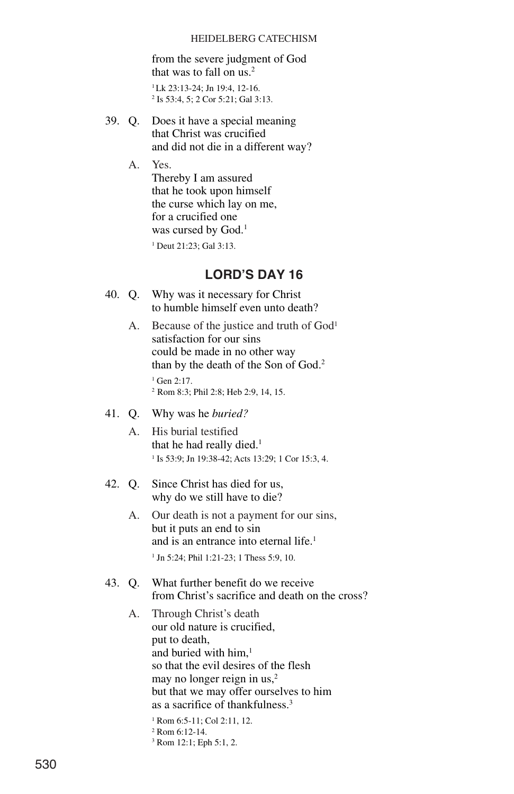from the severe judgment of God that was to fall on  $us.^2$ 

 $1$ Lk 23:13-24; In 19:4, 12-16. <sup>2</sup> Is 53:4, 5; 2 Cor 5:21; Gal 3:13.

39. Q. Does it have a special meaning that Christ was crucified and did not die in a different way?

A. Yes.

Thereby I am assured that he took upon himself the curse which lay on me, for a crucified one was cursed by God.<sup>1</sup>

<sup>1</sup> Deut 21:23; Gal 3:13.

## **LORD'S DAY 16**

- 40. Q. Why was it necessary for Christ to humble himself even unto death?
	- A. Because of the justice and truth of God<sup>1</sup> satisfaction for our sins could be made in no other way than by the death of the Son of God.2 <sup>1</sup> Gen 2:17.
		- <sup>2</sup> Rom 8:3; Phil 2:8; Heb 2:9, 14, 15.
- 41. Q. Why was he *buried?*
	- A. His burial testified that he had really died.<sup>1</sup> <sup>1</sup> Is 53:9; Jn 19:38-42; Acts 13:29; 1 Cor 15:3, 4.
- 42. Q. Since Christ has died for us, why do we still have to die?
	- A. Our death is not a payment for our sins, but it puts an end to sin and is an entrance into eternal life.<sup>1</sup> <sup>1</sup> Jn 5:24; Phil 1:21-23; 1 Thess 5:9, 10.
- 43. Q. What further benefit do we receive from Christ's sacrifice and death on the cross?
	- A. Through Christ's death our old nature is crucified, put to death, and buried with him.<sup>1</sup> so that the evil desires of the flesh may no longer reign in us,<sup>2</sup> but that we may offer ourselves to him as a sacrifice of thankfulness.3

<sup>3</sup> Rom 12:1; Eph 5:1, 2.

<sup>1</sup> Rom 6:5-11; Col 2:11, 12.

<sup>2</sup> Rom 6:12-14.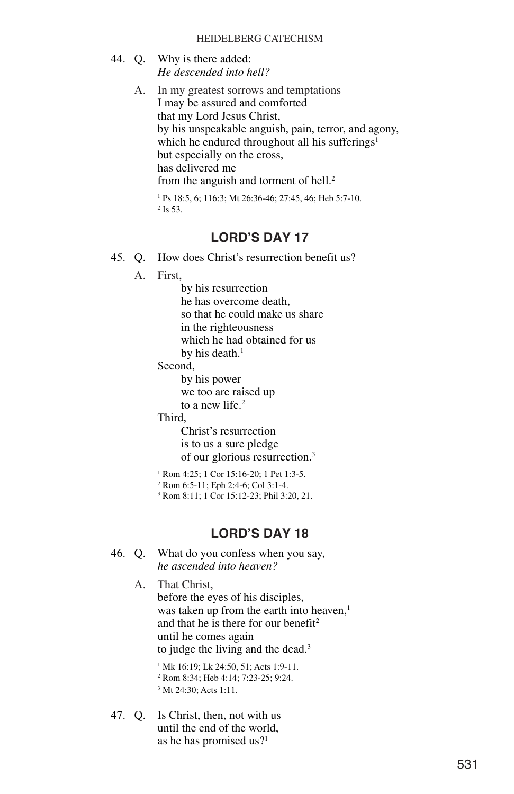- 44. Q. Why is there added: *He descended into hell?*
	- A. In my greatest sorrows and temptations I may be assured and comforted that my Lord Jesus Christ, by his unspeakable anguish, pain, terror, and agony, which he endured throughout all his sufferings<sup>1</sup> but especially on the cross, has delivered me from the anguish and torment of hell.<sup>2</sup>

<sup>1</sup> Ps 18:5, 6; 116:3; Mt 26:36-46; 27:45, 46; Heb 5:7-10. <sup>2</sup> Is 53.

### **LORD'S DAY 17**

- 45. Q. How does Christ's resurrection benefit us?
	- A. First,

by his resurrection he has overcome death, so that he could make us share in the righteousness which he had obtained for us

by his death. $1$ 

Second,

by his power we too are raised up to a new life.<sup>2</sup>

Third,

Christ's resurrection is to us a sure pledge of our glorious resurrection.3

<sup>1</sup> Rom 4:25; 1 Cor 15:16-20; 1 Pet 1:3-5.

<sup>2</sup> Rom 6:5-11; Eph 2:4-6; Col 3:1-4.

<sup>3</sup> Rom 8:11; 1 Cor 15:12-23; Phil 3:20, 21.

### **LORD'S DAY 18**

- 46. Q. What do you confess when you say, *he ascended into heaven?*
	- A. That Christ, before the eyes of his disciples, was taken up from the earth into heaven,<sup>1</sup> and that he is there for our benefit<sup>2</sup> until he comes again to judge the living and the dead.<sup>3</sup>

<sup>1</sup> Mk 16:19; Lk 24:50, 51; Acts 1:9-11. <sup>2</sup> Rom 8:34; Heb 4:14; 7:23-25; 9:24.

- <sup>3</sup> Mt 24:30; Acts 1:11.
- 47. Q. Is Christ, then, not with us until the end of the world, as he has promised us?1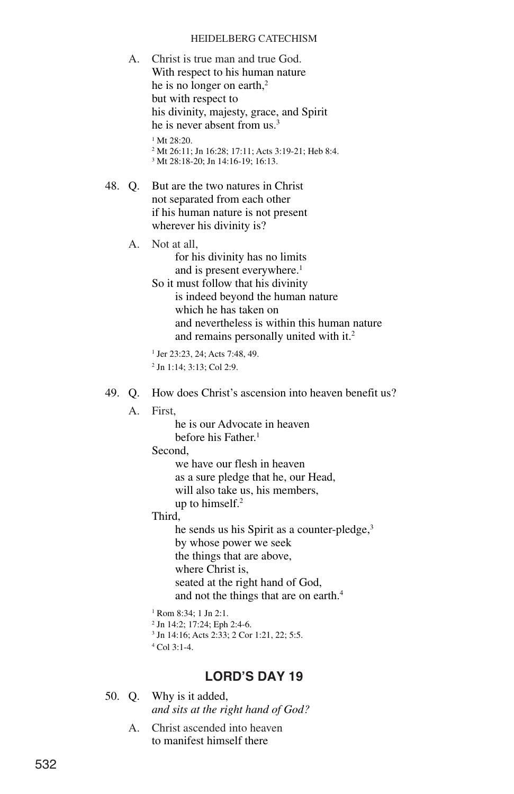- A. Christ is true man and true God. With respect to his human nature he is no longer on earth,<sup>2</sup> but with respect to his divinity, majesty, grace, and Spirit he is never absent from us.3  $1 Mt 28:20.$ <sup>2</sup> Mt 26:11; Jn 16:28; 17:11; Acts 3:19-21; Heb 8:4. <sup>3</sup> Mt 28:18-20; Jn 14:16-19; 16:13.
- 48. Q. But are the two natures in Christ not separated from each other if his human nature is not present wherever his divinity is?
	- A. Not at all, for his divinity has no limits and is present everywhere.<sup>1</sup>
		- So it must follow that his divinity is indeed beyond the human nature which he has taken on and nevertheless is within this human nature and remains personally united with it.<sup>2</sup>
		- <sup>1</sup> Jer 23:23, 24; Acts 7:48, 49. <sup>2</sup> Jn 1:14; 3:13; Col 2:9.
- 49. Q. How does Christ's ascension into heaven benefit us?
	- A First
		- he is our Advocate in heaven before his Father<sup>1</sup>
		- Second,
			- we have our flesh in heaven as a sure pledge that he, our Head, will also take us, his members, up to himself.2
		- Third,
			- he sends us his Spirit as a counter-pledge,<sup>3</sup> by whose power we seek the things that are above, where Christ is, seated at the right hand of God, and not the things that are on earth.4
		- <sup>1</sup> Rom 8:34; 1 Jn 2:1.
		- <sup>2</sup> Jn 14:2; 17:24; Eph 2:4-6. <sup>3</sup> Jn 14:16; Acts 2:33; 2 Cor 1:21, 22; 5:5.
		-
		- $^{4}$  Col 3:1-4.

- 50. Q. Why is it added, *and sits at the right hand of God?*
	- A. Christ ascended into heaven to manifest himself there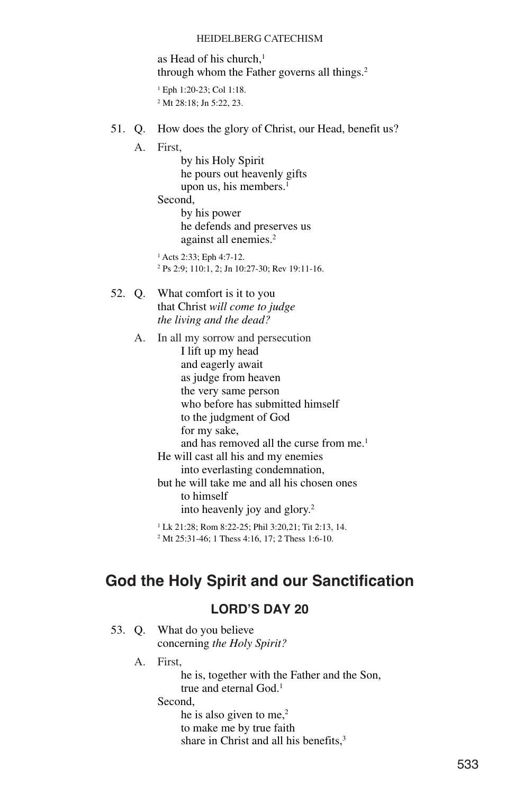as Head of his church, $<sup>1</sup>$ </sup> through whom the Father governs all things.<sup>2</sup>

<sup>1</sup> Eph 1:20-23; Col 1:18. <sup>2</sup> Mt 28:18; Jn 5:22, 23.

- 51. Q. How does the glory of Christ, our Head, benefit us?
	- A. First,

by his Holy Spirit he pours out heavenly gifts upon us, his members.<sup>1</sup>

Second,

by his power he defends and preserves us against all enemies.<sup>2</sup>

<sup>1</sup> Acts 2:33; Eph 4:7-12. <sup>2</sup> Ps 2:9; 110:1, 2; Jn 10:27-30; Rev 19:11-16.

52. Q. What comfort is it to you that Christ *will come to judge the living and the dead?*

> A. In all my sorrow and persecution I lift up my head and eagerly await as judge from heaven the very same person who before has submitted himself to the judgment of God for my sake, and has removed all the curse from me.<sup>1</sup> He will cast all his and my enemies into everlasting condemnation, but he will take me and all his chosen ones to himself into heavenly joy and glory.2

```
1 Lk 21:28; Rom 8:22-25; Phil 3:20,21; Tit 2:13, 14.
```
<sup>2</sup> Mt 25:31-46; 1 Thess 4:16, 17; 2 Thess 1:6-10.

# **God the Holy Spirit and our Sanctification**

### **LORD'S DAY 20**

- 53. Q. What do you believe concerning *the Holy Spirit?*
	- A. First,

he is, together with the Father and the Son, true and eternal God.<sup>1</sup>

Second,

he is also given to me, $2$ 

to make me by true faith

share in Christ and all his benefits.<sup>3</sup>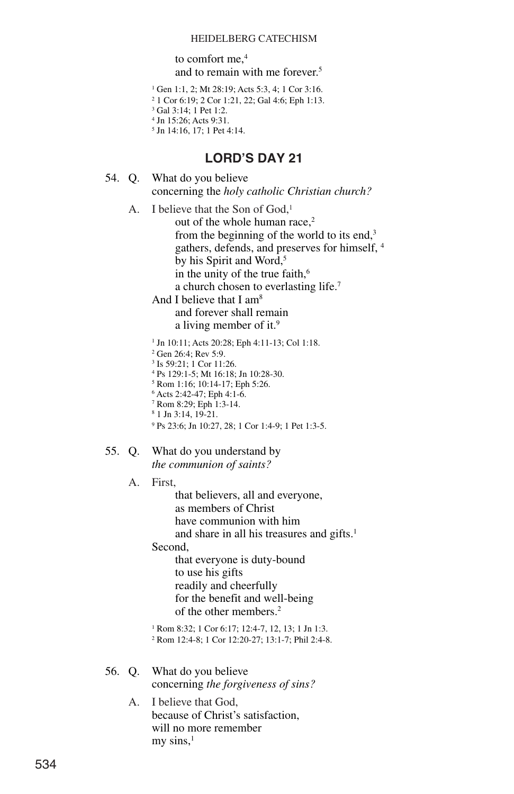to comfort me,<sup>4</sup> and to remain with me forever.5

 Gen 1:1, 2; Mt 28:19; Acts 5:3, 4; 1 Cor 3:16. 1 Cor 6:19; 2 Cor 1:21, 22; Gal 4:6; Eph 1:13. <sup>3</sup> Gal 3:14: 1 Pet 1:2. Jn 15:26; Acts 9:31. Jn 14:16, 17; 1 Pet 4:14.

**LORD'S DAY 21**

- 54. Q. What do you believe concerning the *holy catholic Christian church?*
	- A. I believe that the Son of God,<sup>1</sup> out of the whole human race.<sup>2</sup> from the beginning of the world to its end,<sup>3</sup> gathers, defends, and preserves for himself, <sup>4</sup> by his Spirit and Word,<sup>5</sup> in the unity of the true faith,<sup>6</sup> a church chosen to everlasting life.7

And I believe that I am<sup>8</sup> and forever shall remain a living member of it.<sup>9</sup>

- <sup>1</sup> Jn 10:11; Acts 20:28; Eph 4:11-13; Col 1:18.
- <sup>2</sup> Gen 26:4; Rev 5:9.
- <sup>3</sup> Is 59:21; 1 Cor 11:26.
- <sup>4</sup> Ps 129:1-5; Mt 16:18; Jn 10:28-30.
- <sup>5</sup> Rom 1:16; 10:14-17; Eph 5:26.
- <sup>6</sup> Acts 2:42-47; Eph 4:1-6.
- <sup>7</sup> Rom 8:29; Eph 1:3-14.
- <sup>8</sup> 1 Jn 3:14, 19-21.
- <sup>9</sup> Ps 23:6; Jn 10:27, 28; 1 Cor 1:4-9; 1 Pet 1:3-5.

#### 55. Q. What do you understand by *the communion of saints?*

A. First,

that believers, all and everyone, as members of Christ have communion with him and share in all his treasures and gifts.<sup>1</sup>

Second,

that everyone is duty-bound to use his gifts readily and cheerfully for the benefit and well-being of the other members.2

<sup>1</sup> Rom 8:32; 1 Cor 6:17; 12:4-7, 12, 13; 1 Jn 1:3. <sup>2</sup> Rom 12:4-8; 1 Cor 12:20-27; 13:1-7; Phil 2:4-8.

- 56. Q. What do you believe concerning *the forgiveness of sins?*
	- A. I believe that God, because of Christ's satisfaction, will no more remember my sins, $<sup>1</sup>$ </sup>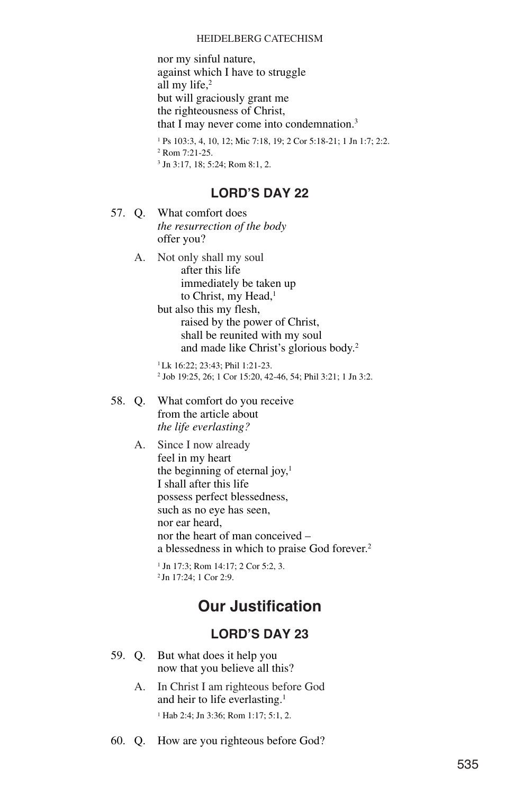nor my sinful nature, against which I have to struggle all my life, $2$ but will graciously grant me the righteousness of Christ, that I may never come into condemnation.<sup>3</sup>

<sup>1</sup> Ps 103:3, 4, 10, 12; Mic 7:18, 19; 2 Cor 5:18-21; 1 Jn 1:7; 2:2.  $2$  Rom  $7:21-25$ . <sup>3</sup> Jn 3:17, 18; 5:24; Rom 8:1, 2.

### **LORD'S DAY 22**

- 57. Q. What comfort does *the resurrection of the body* offer you?
	- A. Not only shall my soul after this life immediately be taken up to Christ, my Head,<sup>1</sup> but also this my flesh, raised by the power of Christ,

shall be reunited with my soul and made like Christ's glorious body.2

1Lk 16:22; 23:43; Phil 1:21-23. <sup>2</sup> Job 19:25, 26; 1 Cor 15:20, 42-46, 54; Phil 3:21; 1 Jn 3:2.

- 58. Q. What comfort do you receive from the article about *the life everlasting?*
	- A. Since I now already feel in my heart the beginning of eternal joy, $<sup>1</sup>$ </sup> I shall after this life possess perfect blessedness, such as no eye has seen, nor ear heard, nor the heart of man conceived – a blessedness in which to praise God forever.2

<sup>1</sup> Jn 17:3; Rom 14:17; 2 Cor 5:2, 3. <sup>2</sup> Jn 17:24; 1 Cor 2:9.

# **Our Justification**

- 59. Q. But what does it help you now that you believe all this?
	- A. In Christ I am righteous before God and heir to life everlasting.1 <sup>1</sup> Hab 2:4; Jn 3:36; Rom 1:17; 5:1, 2.
- 60. Q. How are you righteous before God?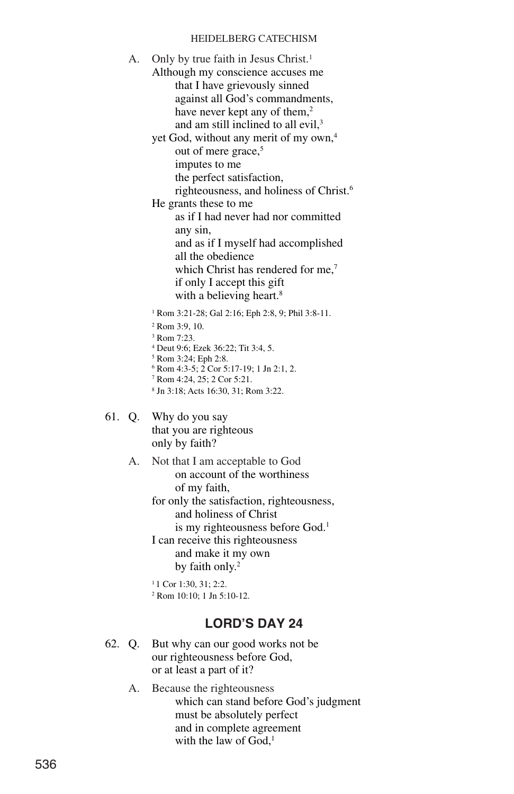A. Only by true faith in Jesus Christ.<sup>1</sup> Although my conscience accuses me that I have grievously sinned against all God's commandments, have never kept any of them,<sup>2</sup> and am still inclined to all evil,<sup>3</sup> yet God, without any merit of my own,<sup>4</sup>

out of mere grace,<sup>5</sup>

imputes to me

the perfect satisfaction,

righteousness, and holiness of Christ.6

He grants these to me as if I had never had nor committed any sin,

> and as if I myself had accomplished all the obedience which Christ has rendered for me,<sup>7</sup> if only I accept this gift with a believing heart.<sup>8</sup>

<sup>1</sup> Rom 3:21-28; Gal 2:16; Eph 2:8, 9; Phil 3:8-11.

- <sup>2</sup> Rom 3:9, 10.
- <sup>3</sup> Rom 7:23.
- <sup>4</sup> Deut 9:6; Ezek 36:22; Tit 3:4, 5.
- <sup>5</sup> Rom 3:24; Eph 2:8.

<sup>6</sup> Rom 4:3-5; 2 Cor 5:17-19; 1 Jn 2:1, 2.

- <sup>7</sup> Rom 4:24, 25; 2 Cor 5:21.
- <sup>8</sup> Jn 3:18; Acts 16:30, 31; Rom 3:22.
- 61. Q. Why do you say that you are righteous only by faith?
	- A. Not that I am acceptable to God on account of the worthiness of my faith,

for only the satisfaction, righteousness, and holiness of Christ is my righteousness before God.<sup>1</sup> I can receive this righteousness and make it my own by faith only.<sup>2</sup>

<sup>1</sup> 1 Cor 1:30, 31; 2:2. <sup>2</sup> Rom 10:10; 1 Jn 5:10-12.

- 62. Q. But why can our good works not be our righteousness before God, or at least a part of it?
	- A. Because the righteousness which can stand before God's judgment must be absolutely perfect and in complete agreement with the law of  $God<sup>1</sup>$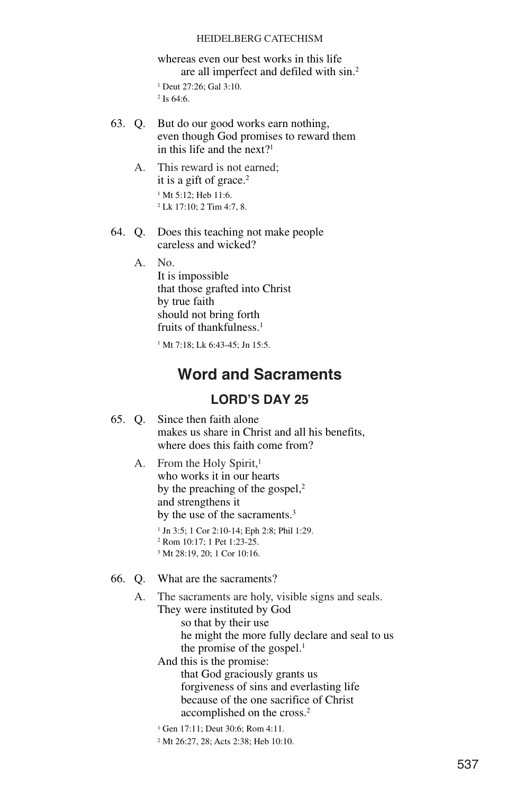whereas even our best works in this life are all imperfect and defiled with sin.2 <sup>1</sup> Deut 27:26; Gal 3:10.

- $2$  Is 64:6.
- 63. Q. But do our good works earn nothing, even though God promises to reward them in this life and the next?1
	- A. This reward is not earned; it is a gift of grace.<sup>2</sup> <sup>1</sup> Mt 5:12; Heb 11:6. <sup>2</sup> Lk 17:10; 2 Tim 4:7, 8.
- 64. Q. Does this teaching not make people careless and wicked?

A. No.

It is impossible that those grafted into Christ by true faith should not bring forth fruits of thankfulness.<sup>1</sup>

 $1 \text{ Mt}$  7:18; Lk 6:43-45; In 15:5.

## **Word and Sacraments**

### **LORD'S DAY 25**

- 65. Q. Since then faith alone makes us share in Christ and all his benefits, where does this faith come from?
	- A. From the Holy Spirit,<sup>1</sup> who works it in our hearts by the preaching of the gospel, $2$ and strengthens it by the use of the sacraments.<sup>3</sup>
		- <sup>1</sup> Jn 3:5; 1 Cor 2:10-14; Eph 2:8; Phil 1:29. <sup>2</sup> Rom 10:17; 1 Pet 1:23-25.
		- <sup>3</sup> Mt 28:19, 20; 1 Cor 10:16.
- 66. Q. What are the sacraments?
	- A. The sacraments are holy, visible signs and seals.
		- They were instituted by God
			- so that by their use he might the more fully declare and seal to us the promise of the gospel. $<sup>1</sup>$ </sup>
		- And this is the promise:

that God graciously grants us forgiveness of sins and everlasting life because of the one sacrifice of Christ accomplished on the cross.2

- <sup>1</sup> Gen 17:11; Deut 30:6; Rom 4:11.
- <sup>2</sup> Mt 26:27, 28; Acts 2:38; Heb 10:10.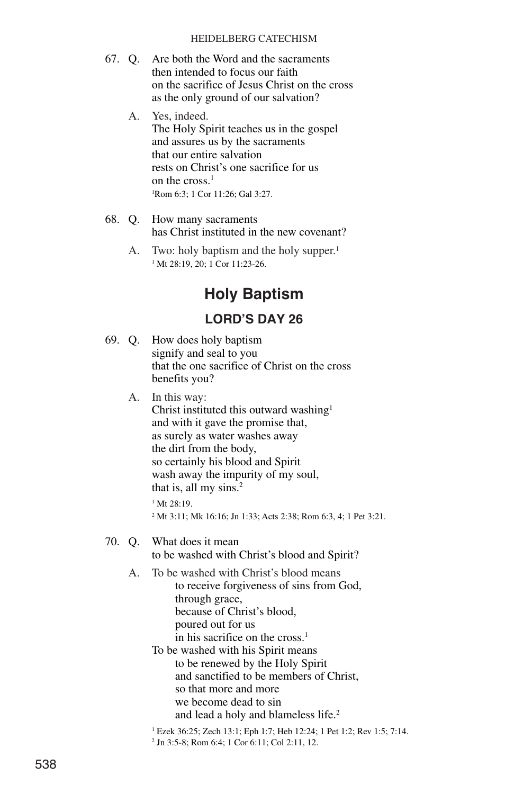- 67. Q. Are both the Word and the sacraments then intended to focus our faith on the sacrifice of Jesus Christ on the cross as the only ground of our salvation?
	- A. Yes, indeed. The Holy Spirit teaches us in the gospel and assures us by the sacraments that our entire salvation rests on Christ's one sacrifice for us on the cross.<sup>1</sup> 1 Rom 6:3; 1 Cor 11:26; Gal 3:27.
- 68. Q. How many sacraments has Christ instituted in the new covenant?
	- A. Two: holy baptism and the holy supper.<sup>1</sup> <sup>1</sup> Mt 28:19, 20; 1 Cor 11:23-26.

# **Holy Baptism**

### **LORD'S DAY 26**

69. Q. How does holy baptism signify and seal to you that the one sacrifice of Christ on the cross benefits you?

A. In this way:

Christ instituted this outward washing<sup>1</sup> and with it gave the promise that, as surely as water washes away the dirt from the body, so certainly his blood and Spirit wash away the impurity of my soul, that is, all my sins.<sup>2</sup>  $1 Mt 28.19$ 

<sup>2</sup> Mt 3:11; Mk 16:16; Jn 1:33; Acts 2:38; Rom 6:3, 4; 1 Pet 3:21.

- 70. Q. What does it mean to be washed with Christ's blood and Spirit?
	- A. To be washed with Christ's blood means to receive forgiveness of sins from God, through grace, because of Christ's blood, poured out for us in his sacrifice on the cross. $<sup>1</sup>$ </sup>

To be washed with his Spirit means to be renewed by the Holy Spirit and sanctified to be members of Christ, so that more and more we become dead to sin and lead a holy and blameless life.<sup>2</sup>

<sup>1</sup> Ezek 36:25; Zech 13:1; Eph 1:7; Heb 12:24; 1 Pet 1:2; Rev 1:5; 7:14. <sup>2</sup> Jn 3:5-8; Rom 6:4; 1 Cor 6:11; Col 2:11, 12.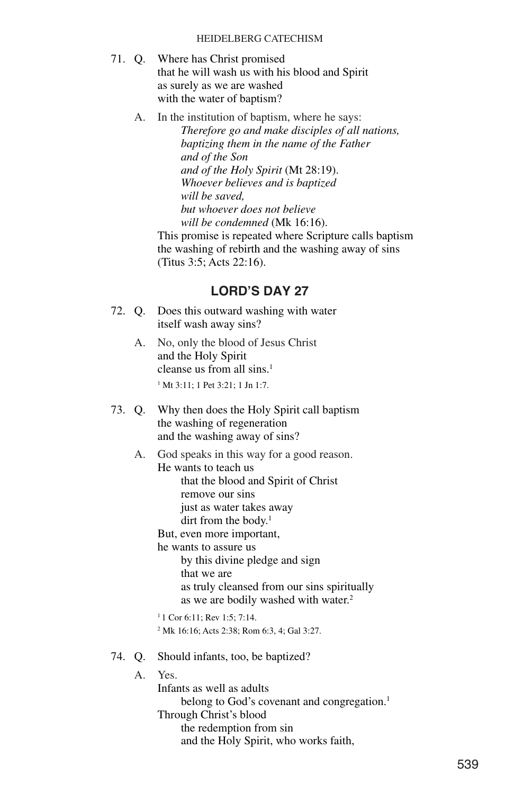- 71. Q. Where has Christ promised that he will wash us with his blood and Spirit as surely as we are washed with the water of baptism?
	- A. In the institution of baptism, where he says: *Therefore go and make disciples of all nations, baptizing them in the name of the Father and of the Son and of the Holy Spirit* (Mt 28:19). *Whoever believes and is baptized will be saved, but whoever does not believe will be condemned* (Mk 16:16).

This promise is repeated where Scripture calls baptism the washing of rebirth and the washing away of sins (Titus 3:5; Acts 22:16).

- 72. Q. Does this outward washing with water itself wash away sins?
	- A. No, only the blood of Jesus Christ and the Holy Spirit cleanse us from all sins.<sup>1</sup> <sup>1</sup> Mt 3:11; 1 Pet 3:21; 1 Jn 1:7.
- 73. Q. Why then does the Holy Spirit call baptism the washing of regeneration and the washing away of sins?
	- A. God speaks in this way for a good reason. He wants to teach us that the blood and Spirit of Christ remove our sins just as water takes away dirt from the body.<sup>1</sup> But, even more important, he wants to assure us by this divine pledge and sign that we are
		- as truly cleansed from our sins spiritually as we are bodily washed with water.<sup>2</sup>
		- $11$  Cor 6:11; Rev 1:5: 7:14 <sup>2</sup> Mk 16:16; Acts 2:38; Rom 6:3, 4; Gal 3:27.
- 74. Q. Should infants, too, be baptized?
	- A. Yes. Infants as well as adults belong to God's covenant and congregation.<sup>1</sup> Through Christ's blood the redemption from sin and the Holy Spirit, who works faith,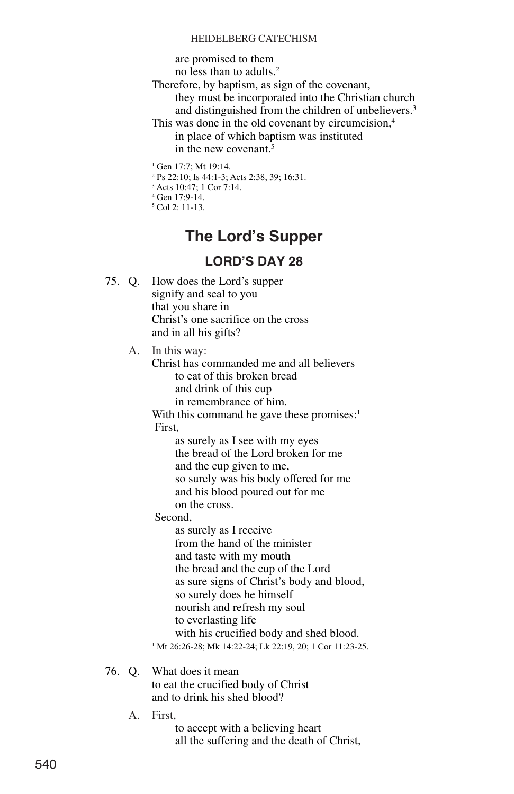are promised to them

no less than to adults.2

- Therefore, by baptism, as sign of the covenant, they must be incorporated into the Christian church and distinguished from the children of unbelievers.<sup>3</sup>
- This was done in the old covenant by circumcision,<sup>4</sup> in place of which baptism was instituted in the new covenant.5

<sup>1</sup> Gen 17:7: Mt 19:14.

- <sup>2</sup> Ps 22:10; Is 44:1-3; Acts 2:38, 39; 16:31.
- <sup>3</sup> Acts 10:47; 1 Cor 7:14.
- <sup>4</sup> Gen 17:9-14.
- <sup>5</sup> Col 2: 11-13.

# **The Lord's Supper**

## **LORD'S DAY 28**

75. Q. How does the Lord's supper signify and seal to you that you share in Christ's one sacrifice on the cross and in all his gifts?

A. In this way:

Christ has commanded me and all believers to eat of this broken bread and drink of this cup in remembrance of him.

With this command he gave these promises: $<sup>1</sup>$ </sup> First,

> as surely as I see with my eyes the bread of the Lord broken for me and the cup given to me, so surely was his body offered for me and his blood poured out for me on the cross.

Second,

as surely as I receive from the hand of the minister and taste with my mouth the bread and the cup of the Lord as sure signs of Christ's body and blood, so surely does he himself nourish and refresh my soul to everlasting life with his crucified body and shed blood.

<sup>1</sup> Mt 26:26-28; Mk 14:22-24; Lk 22:19, 20; 1 Cor 11:23-25.

#### 76. Q. What does it mean to eat the crucified body of Christ and to drink his shed blood?

A. First,

to accept with a believing heart all the suffering and the death of Christ,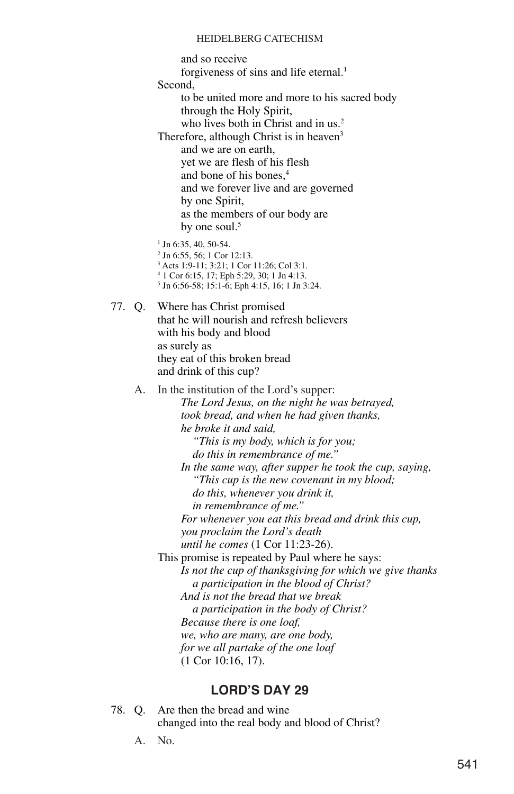and so receive forgiveness of sins and life eternal.<sup>1</sup> Second, to be united more and more to his sacred body through the Holy Spirit, who lives both in Christ and in us.<sup>2</sup> Therefore, although Christ is in heaven<sup>3</sup> and we are on earth, yet we are flesh of his flesh and bone of his bones,4 and we forever live and are governed by one Spirit, as the members of our body are by one soul.<sup>5</sup>  $1$  Jn 6:35, 40, 50-54. <sup>2</sup> Jn 6:55, 56; 1 Cor 12:13. <sup>3</sup> Acts 1:9-11; 3:21; 1 Cor 11:26; Col 3:1. <sup>4</sup> 1 Cor 6:15, 17; Eph 5:29, 30; 1 Jn 4:13. <sup>5</sup> Jn 6:56-58; 15:1-6; Eph 4:15, 16; 1 Jn 3:24. 77. Q. Where has Christ promised that he will nourish and refresh believers with his body and blood as surely as they eat of this broken bread and drink of this cup? A. In the institution of the Lord's supper: *The Lord Jesus, on the night he was betrayed, took bread, and when he had given thanks, he broke it and said, "This is my body, which is for you; do this in remembrance of me." In the same way, after supper he took the cup, saying, "This cup is the new covenant in my blood; do this, whenever you drink it, in remembrance of me." For whenever you eat this bread and drink this cup, you proclaim the Lord's death until he comes* (1 Cor 11:23-26). This promise is repeated by Paul where he says: *Is not the cup of thanksgiving for which we give thanks a participation in the blood of Christ? And is not the bread that we break a participation in the body of Christ? Because there is one loaf, we, who are many, are one body, for we all partake of the one loaf* (1 Cor 10:16, 17).

- 78. Q. Are then the bread and wine changed into the real body and blood of Christ?
	- A. No.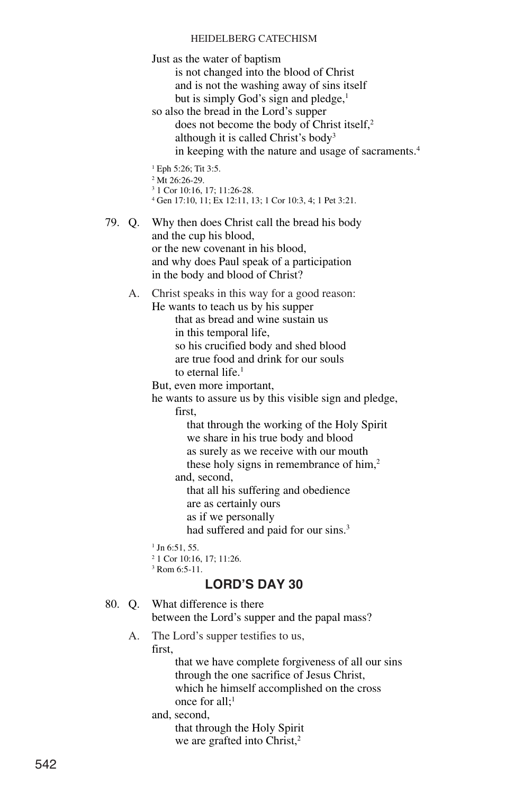Just as the water of baptism is not changed into the blood of Christ and is not the washing away of sins itself but is simply God's sign and pledge, $<sup>1</sup>$ </sup> so also the bread in the Lord's supper does not become the body of Christ itself,<sup>2</sup> although it is called Christ's body3 in keeping with the nature and usage of sacraments.<sup>4</sup> <sup>1</sup> Eph 5:26; Tit 3:5. <sup>2</sup> Mt 26:26-29. <sup>3</sup> 1 Cor 10:16, 17; 11:26-28. <sup>4</sup> Gen 17:10, 11; Ex 12:11, 13; 1 Cor 10:3, 4; 1 Pet 3:21. 79. Q. Why then does Christ call the bread his body and the cup his blood, or the new covenant in his blood, and why does Paul speak of a participation in the body and blood of Christ? A. Christ speaks in this way for a good reason: He wants to teach us by his supper that as bread and wine sustain us in this temporal life, so his crucified body and shed blood are true food and drink for our souls to eternal life.<sup>1</sup> But, even more important, he wants to assure us by this visible sign and pledge, first, that through the working of the Holy Spirit we share in his true body and blood as surely as we receive with our mouth these holy signs in remembrance of him, $2$ and, second, that all his suffering and obedience are as certainly ours as if we personally had suffered and paid for our sins.<sup>3</sup> <sup>1</sup> Jn 6:51, 55. <sup>2</sup> 1 Cor 10:16, 17; 11:26. <sup>3</sup> Rom 6:5-11. **LORD'S DAY 30** 80. Q. What difference is there between the Lord's supper and the papal mass? A. The Lord's supper testifies to us, first, that we have complete forgiveness of all our sins through the one sacrifice of Jesus Christ, which he himself accomplished on the cross

> and, second, that through the Holy Spirit we are grafted into Christ,<sup>2</sup>

once for  $all:$ <sup>1</sup>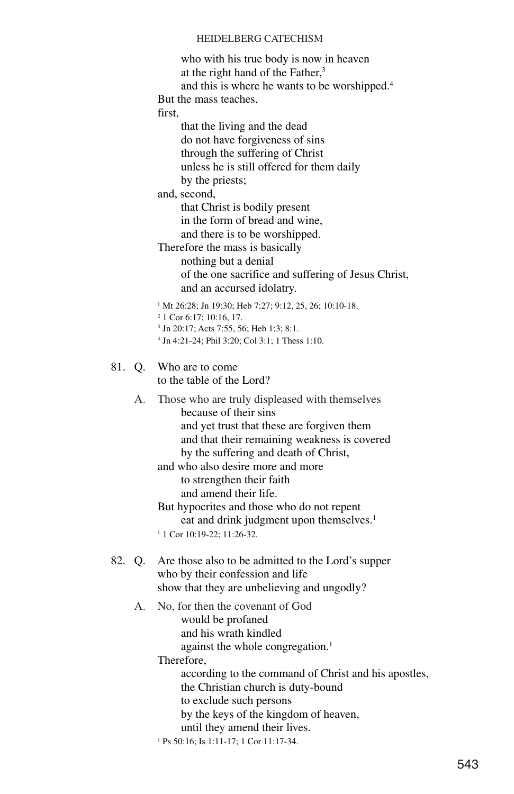who with his true body is now in heaven at the right hand of the Father,<sup>3</sup>

and this is where he wants to be worshipped.4

But the mass teaches,

first,

that the living and the dead do not have forgiveness of sins through the suffering of Christ unless he is still offered for them daily by the priests;

and, second,

that Christ is bodily present in the form of bread and wine, and there is to be worshipped.

Therefore the mass is basically nothing but a denial of the one sacrifice and suffering of Jesus Christ, and an accursed idolatry.

<sup>1</sup> Mt 26:28; Jn 19:30; Heb 7:27; 9:12, 25, 26; 10:10-18.

- <sup>2</sup> 1 Cor 6:17; 10:16, 17.
- <sup>3</sup> Jn 20:17; Acts 7:55, 56; Heb 1:3; 8:1.
- <sup>4</sup> Jn 4:21-24; Phil 3:20; Col 3:1; 1 Thess 1:10.

81. Q. Who are to come to the table of the Lord?

> A. Those who are truly displeased with themselves because of their sins and yet trust that these are forgiven them and that their remaining weakness is covered by the suffering and death of Christ,

and who also desire more and more to strengthen their faith and amend their life.

But hypocrites and those who do not repent eat and drink judgment upon themselves.<sup>1</sup>

<sup>1</sup> 1 Cor 10:19-22; 11:26-32.

### 82. Q. Are those also to be admitted to the Lord's supper who by their confession and life show that they are unbelieving and ungodly?

- A. No, for then the covenant of God
	- would be profaned
	- and his wrath kindled

against the whole congregation.<sup>1</sup>

Therefore,

according to the command of Christ and his apostles,

the Christian church is duty-bound

to exclude such persons

by the keys of the kingdom of heaven,

until they amend their lives.

<sup>1</sup> Ps 50:16; Is 1:11-17; 1 Cor 11:17-34.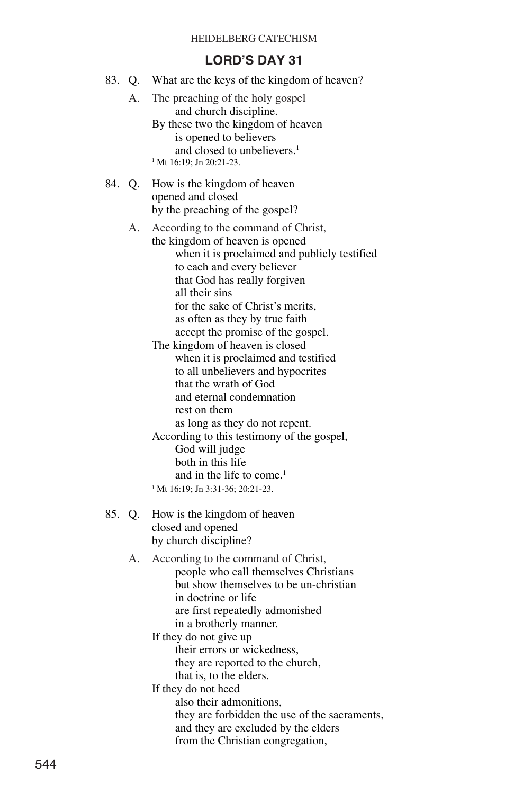| 83. Q. |        | What are the keys of the kingdom of heaven?                                                                                                                                                                                                                                                                                                                                                                                                                                                                                                                                                                                                                                                                           |
|--------|--------|-----------------------------------------------------------------------------------------------------------------------------------------------------------------------------------------------------------------------------------------------------------------------------------------------------------------------------------------------------------------------------------------------------------------------------------------------------------------------------------------------------------------------------------------------------------------------------------------------------------------------------------------------------------------------------------------------------------------------|
|        | А.     | The preaching of the holy gospel<br>and church discipline.<br>By these two the kingdom of heaven<br>is opened to believers<br>and closed to unbelievers. <sup>1</sup><br><sup>1</sup> Mt 16:19; Jn 20:21-23.                                                                                                                                                                                                                                                                                                                                                                                                                                                                                                          |
|        | 84. Q. | How is the kingdom of heaven<br>opened and closed<br>by the preaching of the gospel?                                                                                                                                                                                                                                                                                                                                                                                                                                                                                                                                                                                                                                  |
|        | А.     | According to the command of Christ,<br>the kingdom of heaven is opened<br>when it is proclaimed and publicly testified<br>to each and every believer<br>that God has really forgiven<br>all their sins<br>for the sake of Christ's merits,<br>as often as they by true faith<br>accept the promise of the gospel.<br>The kingdom of heaven is closed<br>when it is proclaimed and testified<br>to all unbelievers and hypocrites<br>that the wrath of God<br>and eternal condemnation<br>rest on them<br>as long as they do not repent.<br>According to this testimony of the gospel,<br>God will judge<br>both in this life<br>and in the life to come. <sup>1</sup><br><sup>1</sup> Mt 16:19; Jn 3:31-36; 20:21-23. |
|        | 85. Q. | How is the kingdom of heaven<br>closed and opened<br>by church discipline?                                                                                                                                                                                                                                                                                                                                                                                                                                                                                                                                                                                                                                            |
|        | А.     | According to the command of Christ,<br>people who call themselves Christians<br>but show themselves to be un-christian<br>in doctrine or life<br>are first repeatedly admonished<br>in a brotherly manner.<br>If they do not give up<br>their errors or wickedness,<br>they are reported to the church,<br>that is, to the elders.<br>If they do not heed<br>also their admonitions,<br>they are forbidden the use of the sacraments,<br>and they are excluded by the elders<br>from the Christian congregation,                                                                                                                                                                                                      |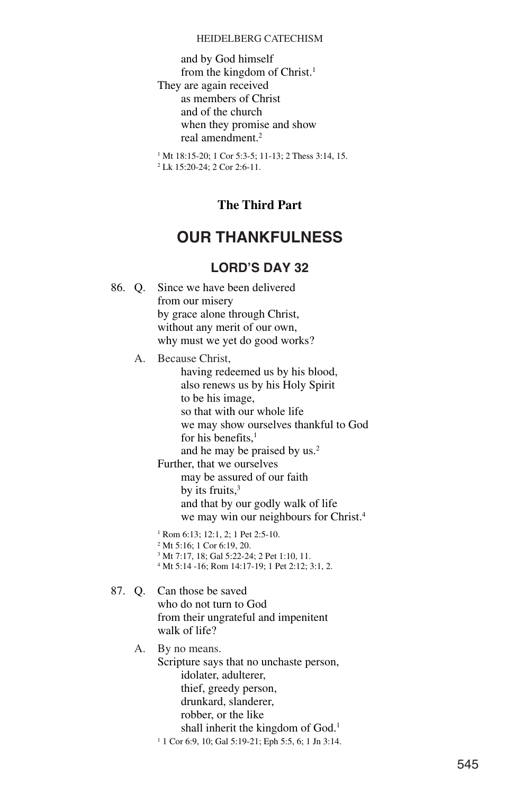and by God himself from the kingdom of Christ.1 They are again received as members of Christ and of the church when they promise and show real amendment.<sup>2</sup>

<sup>1</sup> Mt 18:15-20; 1 Cor 5:3-5; 11-13; 2 Thess 3:14, 15. <sup>2</sup> Lk 15:20-24; 2 Cor 2:6-11.

### **The Third Part**

# **OUR THANKFULNESS**

### **LORD'S DAY 32**

86. Q. Since we have been delivered from our misery by grace alone through Christ, without any merit of our own, why must we yet do good works? A. Because Christ, having redeemed us by his blood, also renews us by his Holy Spirit to be his image, so that with our whole life we may show ourselves thankful to God for his benefits,<sup>1</sup> and he may be praised by us.<sup>2</sup> Further, that we ourselves may be assured of our faith by its fruits, $3$ and that by our godly walk of life we may win our neighbours for Christ.4 <sup>1</sup> Rom 6:13; 12:1, 2; 1 Pet 2:5-10. <sup>2</sup> Mt 5:16; 1 Cor 6:19, 20. <sup>3</sup> Mt 7:17, 18; Gal 5:22-24; 2 Pet 1:10, 11. <sup>4</sup> Mt 5:14 -16; Rom 14:17-19; 1 Pet 2:12; 3:1, 2. 87. Q. Can those be saved who do not turn to God from their ungrateful and impenitent walk of life? A. By no means. Scripture says that no unchaste person, idolater, adulterer, thief, greedy person, drunkard, slanderer, robber, or the like shall inherit the kingdom of God.<sup>1</sup> <sup>1</sup> 1 Cor 6:9, 10; Gal 5:19-21; Eph 5:5, 6; 1 Jn 3:14.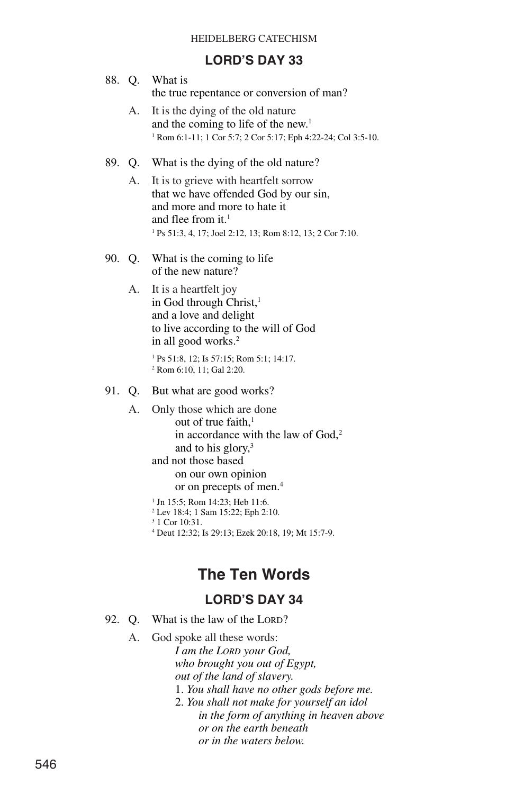## **LORD'S DAY 33**

| LURU Ə DAY 33 |                |                                                                                                                                                                                                                                                                                                                                                                                                                  |  |  |  |
|---------------|----------------|------------------------------------------------------------------------------------------------------------------------------------------------------------------------------------------------------------------------------------------------------------------------------------------------------------------------------------------------------------------------------------------------------------------|--|--|--|
|               |                | 88. Q. What is<br>the true repentance or conversion of man?                                                                                                                                                                                                                                                                                                                                                      |  |  |  |
|               | А.             | It is the dying of the old nature<br>and the coming to life of the new. <sup>1</sup><br><sup>1</sup> Rom 6:1-11; 1 Cor 5:7; 2 Cor 5:17; Eph 4:22-24; Col 3:5-10.                                                                                                                                                                                                                                                 |  |  |  |
|               | $A_{\cdot}$    | 89. Q. What is the dying of the old nature?<br>It is to grieve with heartfelt sorrow<br>that we have offended God by our sin,<br>and more and more to hate it<br>and flee from it. <sup>1</sup><br><sup>1</sup> Ps 51:3, 4, 17; Joel 2:12, 13; Rom 8:12, 13; 2 Cor 7:10.                                                                                                                                         |  |  |  |
|               | 90. Q.         | What is the coming to life<br>of the new nature?                                                                                                                                                                                                                                                                                                                                                                 |  |  |  |
|               | А.             | It is a heartfelt joy<br>in God through Christ, <sup>1</sup><br>and a love and delight<br>to live according to the will of God<br>in all good works. <sup>2</sup><br><sup>1</sup> Ps 51:8, 12; Is 57:15; Rom 5:1; 14:17.                                                                                                                                                                                         |  |  |  |
|               |                | <sup>2</sup> Rom 6:10, 11; Gal 2:20.                                                                                                                                                                                                                                                                                                                                                                             |  |  |  |
|               | 91. Q.         | But what are good works?                                                                                                                                                                                                                                                                                                                                                                                         |  |  |  |
|               | $\mathbf{A}$ . | Only those which are done<br>out of true faith. $1$<br>in accordance with the law of God, <sup>2</sup><br>and to his glory, <sup>3</sup><br>and not those based<br>on our own opinion<br>or on precepts of men. <sup>4</sup><br><sup>1</sup> Jn 15:5; Rom 14:23; Heb 11:6.<br>$2$ Lev 18:4; 1 Sam 15:22; Eph 2:10.<br><sup>3</sup> 1 Cor 10:31.<br><sup>4</sup> Deut 12:32; Is 29:13; Ezek 20:18, 19; Mt 15:7-9. |  |  |  |
|               |                | <b>The Ten Words</b>                                                                                                                                                                                                                                                                                                                                                                                             |  |  |  |
|               |                | <b>LORD'S DAY 34</b>                                                                                                                                                                                                                                                                                                                                                                                             |  |  |  |
|               |                | 92. Q. What is the law of the LORD?                                                                                                                                                                                                                                                                                                                                                                              |  |  |  |
|               |                |                                                                                                                                                                                                                                                                                                                                                                                                                  |  |  |  |

A. God spoke all these words: *I am the LORD your God, who brought you out of Egypt, out of the land of slavery.* 1. *You shall have no other gods before me.* 2. *You shall not make for yourself an idol in the form of anything in heaven above or on the earth beneath or in the waters below.*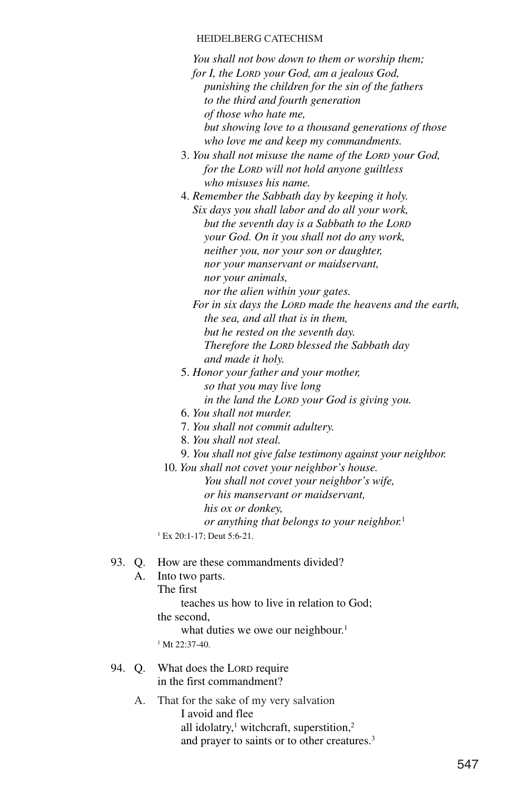*You shall not bow down to them or worship them; for I, the LORD your God, am a jealous God, punishing the children for the sin of the fathers to the third and fourth generation of those who hate me, but showing love to a thousand generations of those who love me and keep my commandments.*

- 3. *You shall not misuse the name of the LORD your God, for the LORD will not hold anyone guiltless who misuses his name.*
- 4. *Remember the Sabbath day by keeping it holy. Six days you shall labor and do all your work, but the seventh day is a Sabbath to the LORD your God. On it you shall not do any work, neither you, nor your son or daughter, nor your manservant or maidservant, nor your animals, nor the alien within your gates.*
	- *For in six days the LORD made the heavens and the earth, the sea, and all that is in them, but he rested on the seventh day. Therefore the LORD blessed the Sabbath day and made it holy.*
- 5. *Honor your father and your mother, so that you may live long in the land the LORD your God is giving you.*
- 6. *You shall not murder.*
- 7. *You shall not commit adultery.*
- 8. *You shall not steal.*
- 9. *You shall not give false testimony against your neighbor.*
- 10. *You shall not covet your neighbor's house.*
	- *You shall not covet your neighbor's wife, or his manservant or maidservant, his ox or donkey, or anything that belongs to your neighbor.*<sup>1</sup>
- <sup>1</sup> Ex 20:1-17; Deut 5:6-21.

### 93. Q. How are these commandments divided?

- A. Into two parts.
	- The first
		- teaches us how to live in relation to God;
		- the second,
			- what duties we owe our neighbour.<sup>1</sup>
	- <sup>1</sup> Mt 22:37-40.
- 94. Q. What does the LORD require in the first commandment?
	- A. That for the sake of my very salvation I avoid and flee all idolatry, $\frac{1}{2}$  witchcraft, superstition, $\frac{2}{2}$ and prayer to saints or to other creatures.3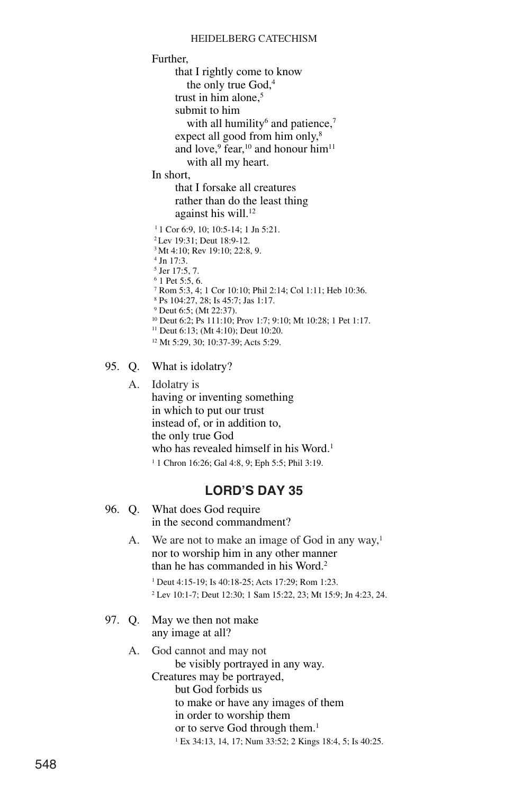Further, that I rightly come to know the only true God,<sup>4</sup> trust in him alone.<sup>5</sup> submit to him with all humility $6$  and patience, $7$ expect all good from him only,<sup>8</sup> and love,<sup>9</sup> fear,<sup>10</sup> and honour him<sup>11</sup> with all my heart. In short, that I forsake all creatures rather than do the least thing against his will.<sup>12</sup> <sup>1</sup> 1 Cor 6:9, 10; 10:5-14; 1 Jn 5:21. 2Lev 19:31; Deut 18:9-12. <sup>3</sup> Mt 4:10; Rev 19:10; 22:8, 9.  $4$  In  $17.3$ . <sup>5</sup> Jer 17:5, 7. <sup>6</sup> 1 Pet 5:5, 6. <sup>7</sup> Rom 5:3, 4; 1 Cor 10:10; Phil 2:14; Col 1:11; Heb 10:36. <sup>8</sup> Ps 104:27, 28; Is 45:7; Jas 1:17. <sup>9</sup> Deut 6:5; (Mt 22:37). <sup>10</sup> Deut 6:2; Ps 111:10; Prov 1:7; 9:10; Mt 10:28; 1 Pet 1:17. <sup>11</sup> Deut 6:13; (Mt 4:10); Deut 10:20. <sup>12</sup> Mt 5:29, 30; 10:37-39; Acts 5:29.

95. Q. What is idolatry?

A. Idolatry is having or inventing something in which to put our trust instead of, or in addition to, the only true God who has revealed himself in his Word.<sup>1</sup> <sup>1</sup> 1 Chron 16:26; Gal 4:8, 9; Eph 5:5; Phil 3:19.

|  | 96. Q. What does God require |
|--|------------------------------|
|  | in the second commandment?   |

- A. We are not to make an image of God in any way,<sup>1</sup> nor to worship him in any other manner than he has commanded in his Word.2 <sup>1</sup> Deut 4:15-19; Is 40:18-25; Acts 17:29; Rom 1:23.
	- <sup>2</sup> Lev 10:1-7; Deut 12:30; 1 Sam 15:22, 23; Mt 15:9; Jn 4:23, 24.
- 97. Q. May we then not make any image at all?
	- A. God cannot and may not be visibly portrayed in any way. Creatures may be portrayed, but God forbids us to make or have any images of them in order to worship them or to serve God through them.<sup>1</sup> <sup>1</sup> Ex 34:13, 14, 17; Num 33:52; 2 Kings 18:4, 5; Is 40:25.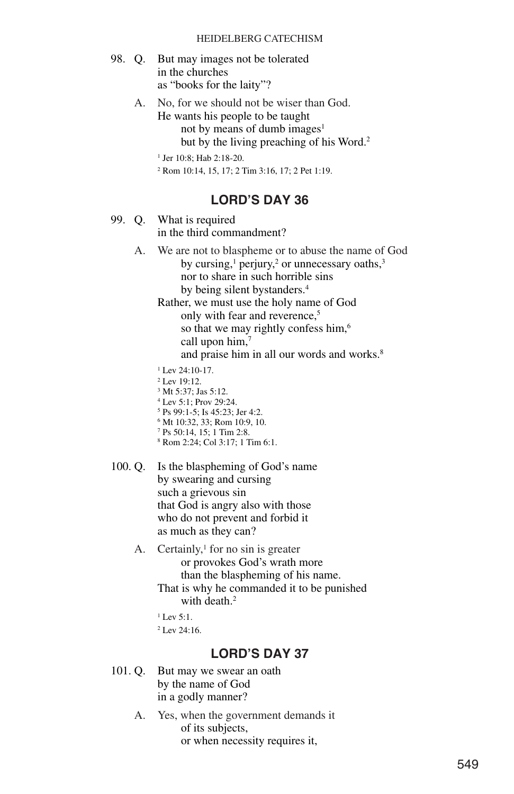- 98. Q. But may images not be tolerated in the churches as "books for the laity"?
	- A. No, for we should not be wiser than God. He wants his people to be taught not by means of dumb images $<sup>1</sup>$ </sup> but by the living preaching of his Word.<sup>2</sup>

<sup>1</sup> Jer 10:8; Hab 2:18-20.

<sup>2</sup> Rom 10:14, 15, 17; 2 Tim 3:16, 17; 2 Pet 1:19.

### **LORD'S DAY 36**

- 99. Q. What is required in the third commandment?
	- A. We are not to blaspheme or to abuse the name of God by cursing, $1$  perjury, $2$  or unnecessary oaths, $3$ nor to share in such horrible sins by being silent bystanders.4

Rather, we must use the holy name of God only with fear and reverence,<sup>5</sup> so that we may rightly confess him,<sup>6</sup> call upon him,<sup>7</sup> and praise him in all our words and works.<sup>8</sup>

- <sup>1</sup> Lev 24:10-17.
- <sup>2</sup> Lev 19:12.
- <sup>3</sup> Mt 5:37; Jas 5:12.
- <sup>4</sup> Lev 5:1; Prov 29:24.
- <sup>5</sup> Ps 99:1-5; Is 45:23; Jer 4:2.
- <sup>6</sup> Mt 10:32, 33; Rom 10:9, 10.
- <sup>7</sup> Ps 50:14, 15; 1 Tim 2:8. <sup>8</sup> Rom 2:24; Col 3:17; 1 Tim 6:1.
- 
- 100. Q. Is the blaspheming of God's name by swearing and cursing such a grievous sin that God is angry also with those who do not prevent and forbid it as much as they can?
	- A. Certainly, $\frac{1}{1}$  for no sin is greater or provokes God's wrath more than the blaspheming of his name. That is why he commanded it to be punished with death.<sup>2</sup>
		- $1$  Lev 5:1.  $2$  Lev 24:16.

- 101. Q. But may we swear an oath by the name of God in a godly manner?
	- A. Yes, when the government demands it of its subjects, or when necessity requires it,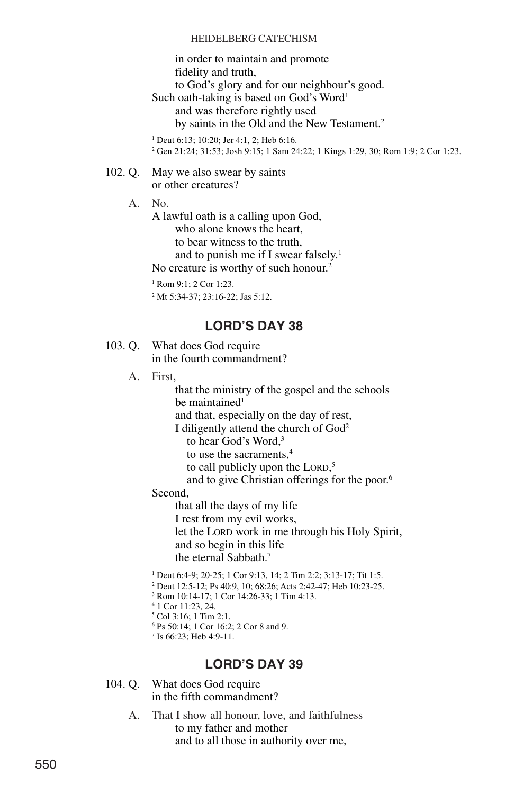in order to maintain and promote fidelity and truth, to God's glory and for our neighbour's good. Such oath-taking is based on God's Word<sup>1</sup>

and was therefore rightly used by saints in the Old and the New Testament.<sup>2</sup>

<sup>1</sup> Deut 6:13; 10:20; Jer 4:1, 2; Heb 6:16. <sup>2</sup> Gen 21:24; 31:53; Josh 9:15; 1 Sam 24:22; 1 Kings 1:29, 30; Rom 1:9; 2 Cor 1:23.

#### 102. Q. May we also swear by saints or other creatures?

A. No.

A lawful oath is a calling upon God, who alone knows the heart, to bear witness to the truth, and to punish me if I swear falsely.1 No creature is worthy of such honour.<sup>2</sup>

<sup>1</sup> Rom 9:1; 2 Cor 1:23.

<sup>2</sup> Mt 5:34-37; 23:16-22; Jas 5:12.

### **LORD'S DAY 38**

103. Q. What does God require in the fourth commandment?

A. First,

that the ministry of the gospel and the schools be maintained<sup>1</sup> and that, especially on the day of rest, I diligently attend the church of God2 to hear God's Word.<sup>3</sup> to use the sacraments,4 to call publicly upon the LORD, 5 and to give Christian offerings for the poor.6 Second, that all the days of my life

I rest from my evil works,

let the LORD work in me through his Holy Spirit, and so begin in this life the eternal Sabbath.7

 Deut 6:4-9; 20-25; 1 Cor 9:13, 14; 2 Tim 2:2; 3:13-17; Tit 1:5. Deut 12:5-12; Ps 40:9, 10; 68:26; Acts 2:42-47; Heb 10:23-25. Rom 10:14-17; 1 Cor 14:26-33; 1 Tim 4:13. 1 Cor 11:23, 24. Col 3:16; 1 Tim 2:1. Ps 50:14; 1 Cor 16:2; 2 Cor 8 and 9.

<sup>7</sup> Is 66:23; Heb 4:9-11.

- 104. Q. What does God require in the fifth commandment?
	- A. That I show all honour, love, and faithfulness to my father and mother and to all those in authority over me,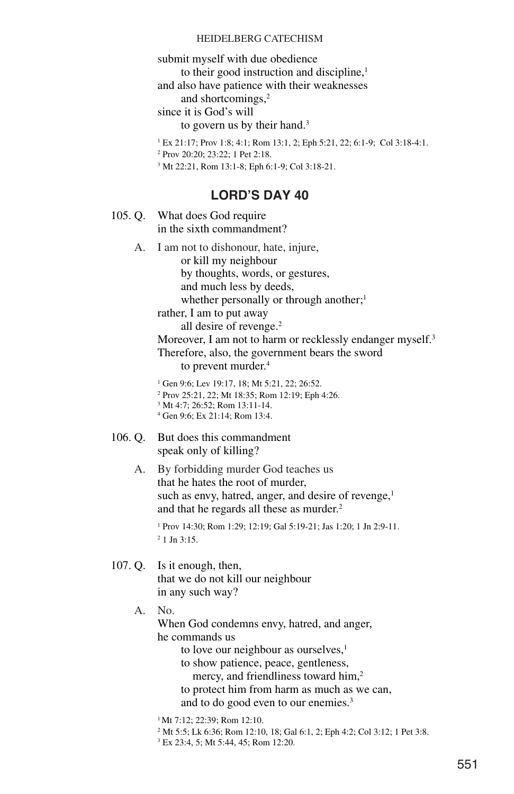submit myself with due obedience to their good instruction and discipline,<sup>1</sup>

and also have patience with their weaknesses

and shortcomings,<sup>2</sup>

since it is God's will

to govern us by their hand.<sup>3</sup>

<sup>1</sup> Ex 21:17; Prov 1:8; 4:1; Rom 13:1, 2; Eph 5:21, 22; 6:1-9; Col 3:18-4:1.

<sup>2</sup> Prov 20:20; 23:22; 1 Pet 2:18.

<sup>3</sup> Mt 22:21, Rom 13:1-8; Eph 6:1-9; Col 3:18-21.

### **LORD'S DAY 40**

105. Q. What does God require in the sixth commandment?

> A. I am not to dishonour, hate, injure, or kill my neighbour by thoughts, words, or gestures, and much less by deeds, whether personally or through another;<sup>1</sup>

rather, I am to put away all desire of revenge.<sup>2</sup>

Moreover, I am not to harm or recklessly endanger myself.<sup>3</sup> Therefore, also, the government bears the sword to prevent murder.<sup>4</sup>

<sup>1</sup> Gen 9:6; Lev 19:17, 18; Mt 5:21, 22; 26:52.

- <sup>2</sup> Prov 25:21, 22; Mt 18:35; Rom 12:19; Eph 4:26.
- <sup>3</sup> Mt 4:7; 26:52; Rom 13:11-14.
- <sup>4</sup> Gen 9:6; Ex 21:14; Rom 13:4.
- 106. Q. But does this commandment speak only of killing?
	- A. By forbidding murder God teaches us that he hates the root of murder, such as envy, hatred, anger, and desire of revenge,<sup>1</sup> and that he regards all these as murder.<sup>2</sup>

<sup>1</sup> Prov 14:30; Rom 1:29; 12:19; Gal 5:19-21; Jas 1:20; 1 Jn 2:9-11. <sup>2</sup> 1 Jn 3:15.

- 107. Q. Is it enough, then, that we do not kill our neighbour in any such way?
	- A. No.

When God condemns envy, hatred, and anger, he commands us

to love our neighbour as ourselves,<sup>1</sup>

to show patience, peace, gentleness,

mercy, and friendliness toward him,<sup>2</sup>

to protect him from harm as much as we can, and to do good even to our enemies.3

<sup>1</sup> Mt 7:12; 22:39; Rom 12:10.

<sup>2</sup> Mt 5:5; Lk 6:36; Rom 12:10, 18; Gal 6:1, 2; Eph 4:2; Col 3:12; 1 Pet 3:8.

<sup>3</sup> Ex 23:4, 5; Mt 5:44, 45; Rom 12:20.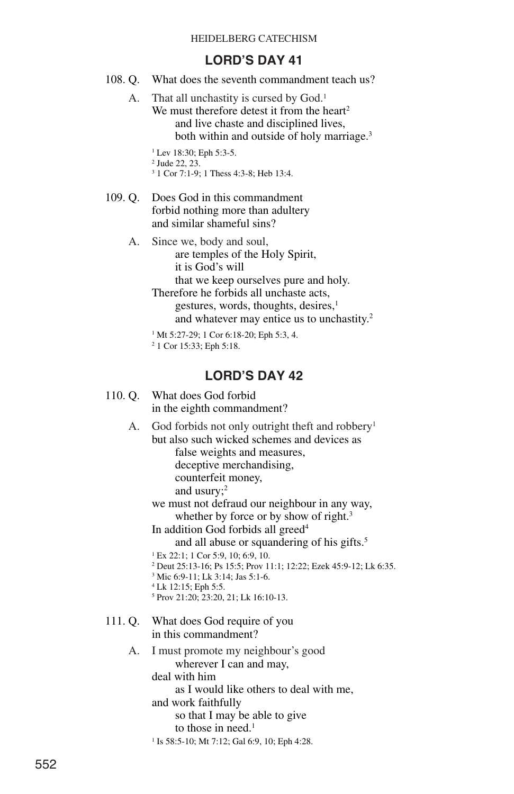### **LORD'S DAY 41**

108. Q. What does the seventh commandment teach us?

A. That all unchastity is cursed by God.<sup>1</sup> We must therefore detest it from the heart<sup>2</sup> and live chaste and disciplined lives, both within and outside of holy marriage.<sup>3</sup>

> <sup>1</sup> Lev 18:30; Eph 5:3-5. <sup>2</sup> Jude 22, 23. <sup>3</sup> 1 Cor 7:1-9; 1 Thess 4:3-8; Heb 13:4.

- 109. Q. Does God in this commandment forbid nothing more than adultery and similar shameful sins?
	- A. Since we, body and soul, are temples of the Holy Spirit, it is God's will that we keep ourselves pure and holy. Therefore he forbids all unchaste acts, gestures, words, thoughts, desires,<sup>1</sup> and whatever may entice us to unchastity.2
		- <sup>1</sup> Mt 5:27-29; 1 Cor 6:18-20; Eph 5:3, 4.

```
2 1 Cor 15:33; Eph 5:18.
```
## **LORD'S DAY 42**

110. Q. What does God forbid in the eighth commandment?

A. God forbids not only outright theft and robbery<sup>1</sup> but also such wicked schemes and devices as

> false weights and measures, deceptive merchandising, counterfeit money,

and usury;2

we must not defraud our neighbour in any way, whether by force or by show of right.<sup>3</sup>

In addition God forbids all greed<sup>4</sup> and all abuse or squandering of his gifts.<sup>5</sup>

- <sup>1</sup> Ex 22:1; 1 Cor 5:9, 10; 6:9, 10.
- <sup>2</sup> Deut 25:13-16; Ps 15:5; Prov 11:1; 12:22; Ezek 45:9-12; Lk 6:35.
- <sup>3</sup> Mic 6:9-11; Lk 3:14; Jas 5:1-6.
- <sup>4</sup> Lk 12:15; Eph 5:5.
- <sup>5</sup> Prov 21:20; 23:20, 21; Lk 16:10-13.
- 111. Q. What does God require of you in this commandment?

#### A. I must promote my neighbour's good wherever I can and may,

deal with him

as I would like others to deal with me,

and work faithfully

so that I may be able to give

to those in need. $<sup>1</sup>$ </sup>

<sup>1</sup> Is 58:5-10; Mt 7:12; Gal 6:9, 10; Eph 4:28.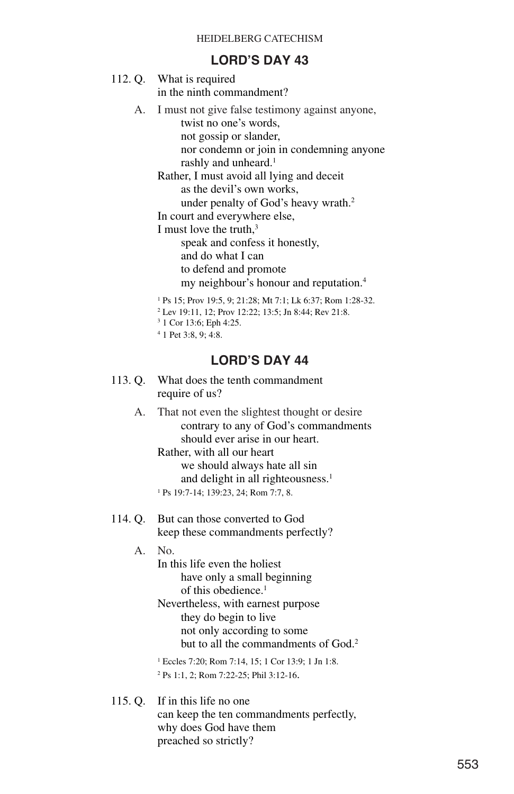### **LORD'S DAY 43**

| 112. Q. What is required  |
|---------------------------|
| in the ninth commandment? |

A. I must not give false testimony against anyone, twist no one's words,

> not gossip or slander, nor condemn or join in condemning anyone rashly and unheard.<sup>1</sup>

Rather, I must avoid all lying and deceit as the devil's own works, under penalty of God's heavy wrath.<sup>2</sup>

In court and everywhere else,

I must love the truth, $3$ 

speak and confess it honestly, and do what I can to defend and promote my neighbour's honour and reputation.4

<sup>1</sup> Ps 15; Prov 19:5, 9; 21:28; Mt 7:1; Lk 6:37; Rom 1:28-32.

- <sup>2</sup> Lev 19:11, 12; Prov 12:22; 13:5; Jn 8:44; Rev 21:8.
- <sup>3</sup> 1 Cor 13:6; Eph 4:25.
- <sup>4</sup> 1 Pet 3:8, 9; 4:8.

## **LORD'S DAY 44**

- 113. Q. What does the tenth commandment require of us?
	- A. That not even the slightest thought or desire contrary to any of God's commandments should ever arise in our heart. Rather, with all our heart we should always hate all sin

and delight in all righteousness.<sup>1</sup>

<sup>1</sup> Ps 19:7-14; 139:23, 24; Rom 7:7, 8.

114. Q. But can those converted to God keep these commandments perfectly?

A. No.

In this life even the holiest have only a small beginning of this obedience.<sup>1</sup> Nevertheless, with earnest purpose they do begin to live not only according to some

but to all the commandments of God.<sup>2</sup>

<sup>1</sup> Eccles 7:20; Rom 7:14, 15; 1 Cor 13:9; 1 Jn 1:8. <sup>2</sup> Ps 1:1, 2; Rom 7:22-25; Phil 3:12-16.

115. Q. If in this life no one can keep the ten commandments perfectly, why does God have them preached so strictly?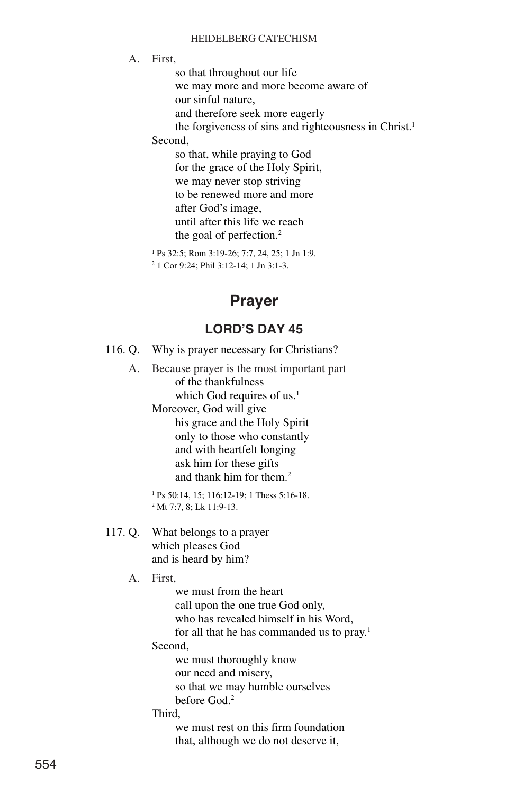A. First,

so that throughout our life we may more and more become aware of our sinful nature, and therefore seek more eagerly the forgiveness of sins and righteousness in Christ.<sup>1</sup> Second,

so that, while praying to God for the grace of the Holy Spirit, we may never stop striving to be renewed more and more after God's image, until after this life we reach the goal of perfection.<sup>2</sup>

<sup>1</sup> Ps 32:5; Rom 3:19-26; 7:7, 24, 25; 1 Jn 1:9.

<sup>2</sup> 1 Cor 9:24; Phil 3:12-14; 1 Jn 3:1-3.

# **Prayer**

## **LORD'S DAY 45**

116. Q. Why is prayer necessary for Christians?

A. Because prayer is the most important part of the thankfulness which God requires of us.<sup>1</sup> Moreover, God will give his grace and the Holy Spirit only to those who constantly and with heartfelt longing ask him for these gifts and thank him for them.2

<sup>1</sup> Ps 50:14, 15; 116:12-19; 1 Thess 5:16-18. <sup>2</sup> Mt 7:7, 8; Lk 11:9-13.

117. Q. What belongs to a prayer which pleases God and is heard by him?

A. First,

we must from the heart call upon the one true God only, who has revealed himself in his Word, for all that he has commanded us to pray.<sup>1</sup> Second, we must thoroughly know

our need and misery, so that we may humble ourselves before God.2

Third,

we must rest on this firm foundation that, although we do not deserve it,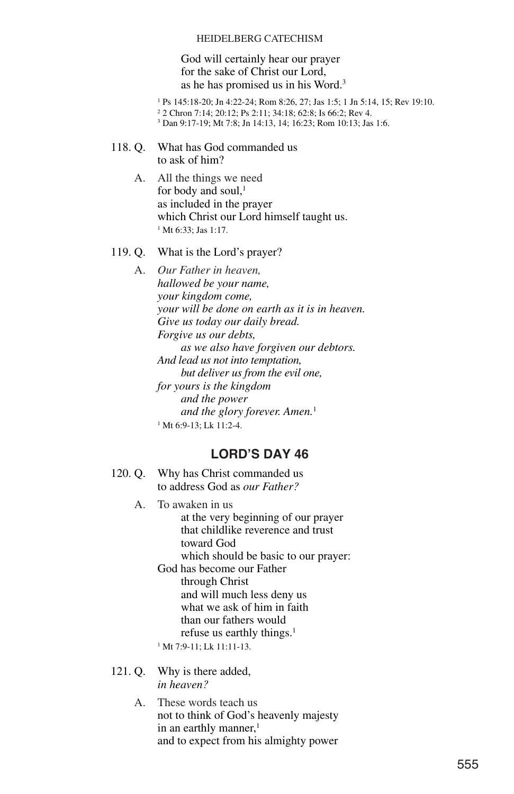God will certainly hear our prayer for the sake of Christ our Lord, as he has promised us in his Word.3

<sup>1</sup> Ps 145:18-20; Jn 4:22-24; Rom 8:26, 27; Jas 1:5; 1 Jn 5:14, 15; Rev 19:10. <sup>2</sup> 2 Chron 7:14; 20:12; Ps 2:11; 34:18; 62:8; Is 66:2; Rev 4. <sup>3</sup> Dan 9:17-19; Mt 7:8; Jn 14:13, 14; 16:23; Rom 10:13; Jas 1:6.

- 118. Q. What has God commanded us to ask of him?
	- A. All the things we need for body and soul, $<sup>1</sup>$ </sup> as included in the prayer which Christ our Lord himself taught us. <sup>1</sup> Mt 6:33; Jas 1:17.

#### 119. Q. What is the Lord's prayer?

A. *Our Father in heaven, hallowed be your name, your kingdom come, your will be done on earth as it is in heaven. Give us today our daily bread. Forgive us our debts, as we also have forgiven our debtors. And lead us not into temptation, but deliver us from the evil one, for yours is the kingdom and the power and the glory forever. Amen.*<sup>1</sup> <sup>1</sup> Mt 6:9-13; Lk 11:2-4.

### **LORD'S DAY 46**

- 120. Q. Why has Christ commanded us to address God as *our Father?*
	- A. To awaken in us at the very beginning of our prayer that childlike reverence and trust toward God which should be basic to our prayer: God has become our Father through Christ and will much less deny us what we ask of him in faith than our fathers would refuse us earthly things.<sup>1</sup>

<sup>1</sup> Mt 7:9-11; Lk 11:11-13.

- 121. Q. Why is there added, *in heaven?*
	- A. These words teach us not to think of God's heavenly majesty in an earthly manner, $<sup>1</sup>$ </sup> and to expect from his almighty power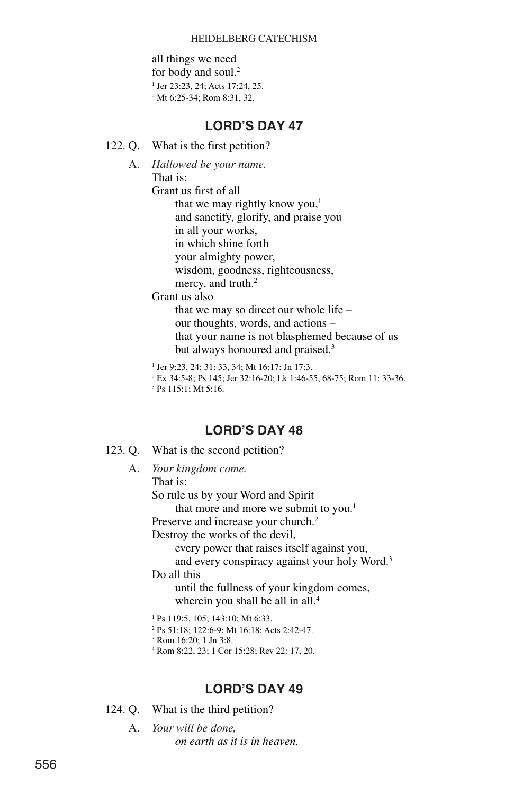all things we need for body and soul.<sup>2</sup> <sup>1</sup> Jer 23:23, 24; Acts 17:24, 25. <sup>2</sup> Mt 6:25-34; Rom 8:31, 32.

## **LORD'S DAY 47**

- 122. Q. What is the first petition?
	- A. *Hallowed be your name.*

That is:

Grant us first of all that we may rightly know you, $<sup>1</sup>$ </sup>

and sanctify, glorify, and praise you

in all your works,

in which shine forth

your almighty power,

wisdom, goodness, righteousness,

mercy, and truth.<sup>2</sup>

Grant us also

that we may so direct our whole life – our thoughts, words, and actions – that your name is not blasphemed because of us but always honoured and praised.<sup>3</sup>

<sup>1</sup> Jer 9:23, 24; 31: 33, 34; Mt 16:17; Jn 17:3.

<sup>2</sup> Ex 34:5-8; Ps 145; Jer 32:16-20; Lk 1:46-55, 68-75; Rom 11: 33-36.

<sup>3</sup> Ps 115:1; Mt 5:16.

## **LORD'S DAY 48**

123. Q. What is the second petition?

A. *Your kingdom come.* That is: So rule us by your Word and Spirit that more and more we submit to you.<sup>1</sup> Preserve and increase your church.<sup>2</sup> Destroy the works of the devil, every power that raises itself against you, and every conspiracy against your holy Word.3 Do all this until the fullness of your kingdom comes, wherein you shall be all in all.<sup>4</sup> <sup>1</sup> Ps 119:5, 105; 143:10; Mt 6:33. <sup>2</sup> Ps 51:18; 122:6-9; Mt 16:18; Acts 2:42-47.

<sup>3</sup> Rom 16:20; 1 Jn 3:8.

<sup>4</sup> Rom 8:22, 23; 1 Cor 15:28; Rev 22: 17, 20.

## **LORD'S DAY 49**

124. Q. What is the third petition?

A. *Your will be done, on earth as it is in heaven.*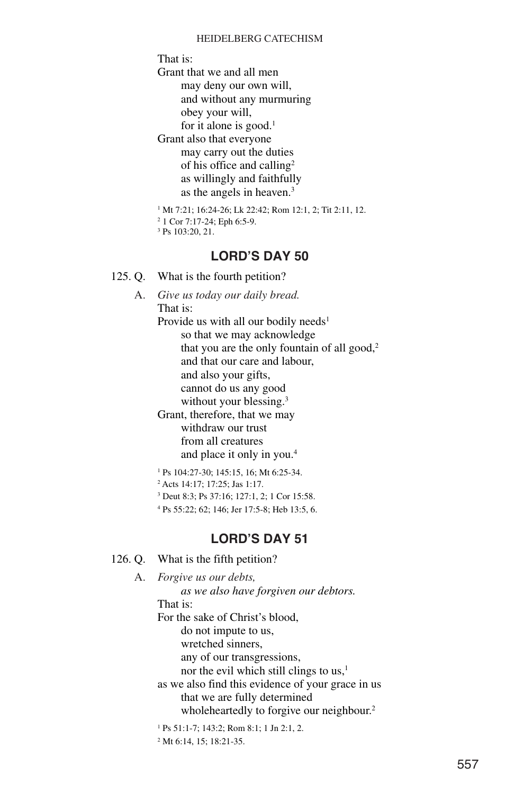That is:

Grant that we and all men may deny our own will, and without any murmuring obey your will,

for it alone is good.<sup>1</sup>

Grant also that everyone may carry out the duties of his office and calling2 as willingly and faithfully as the angels in heaven.3

<sup>1</sup> Mt 7:21; 16:24-26; Lk 22:42; Rom 12:1, 2; Tit 2:11, 12.

- <sup>2</sup> 1 Cor 7:17-24; Eph 6:5-9.
- <sup>3</sup> Ps 103:20, 21.

### **LORD'S DAY 50**

- 125. Q. What is the fourth petition?
	- A. *Give us today our daily bread.* That is: Provide us with all our bodily needs<sup>1</sup> so that we may acknowledge that you are the only fountain of all good,<sup>2</sup> and that our care and labour, and also your gifts, cannot do us any good without your blessing.<sup>3</sup> Grant, therefore, that we may

withdraw our trust from all creatures and place it only in you.4

<sup>1</sup> Ps 104:27-30; 145:15, 16; Mt 6:25-34.

<sup>2</sup> Acts 14:17; 17:25; Jas 1:17.

<sup>3</sup> Deut 8:3; Ps 37:16; 127:1, 2; 1 Cor 15:58.

<sup>4</sup> Ps 55:22; 62; 146; Jer 17:5-8; Heb 13:5, 6.

### **LORD'S DAY 51**

```
126. Q. What is the fifth petition?
```
A. *Forgive us our debts, as we also have forgiven our debtors.* That is: For the sake of Christ's blood, do not impute to us, wretched sinners, any of our transgressions, nor the evil which still clings to us, $<sup>1</sup>$ </sup> as we also find this evidence of your grace in us that we are fully determined wholeheartedly to forgive our neighbour.<sup>2</sup> <sup>1</sup> Ps 51:1-7; 143:2; Rom 8:1; 1 Jn 2:1, 2.

<sup>2</sup> Mt 6:14, 15; 18:21-35.